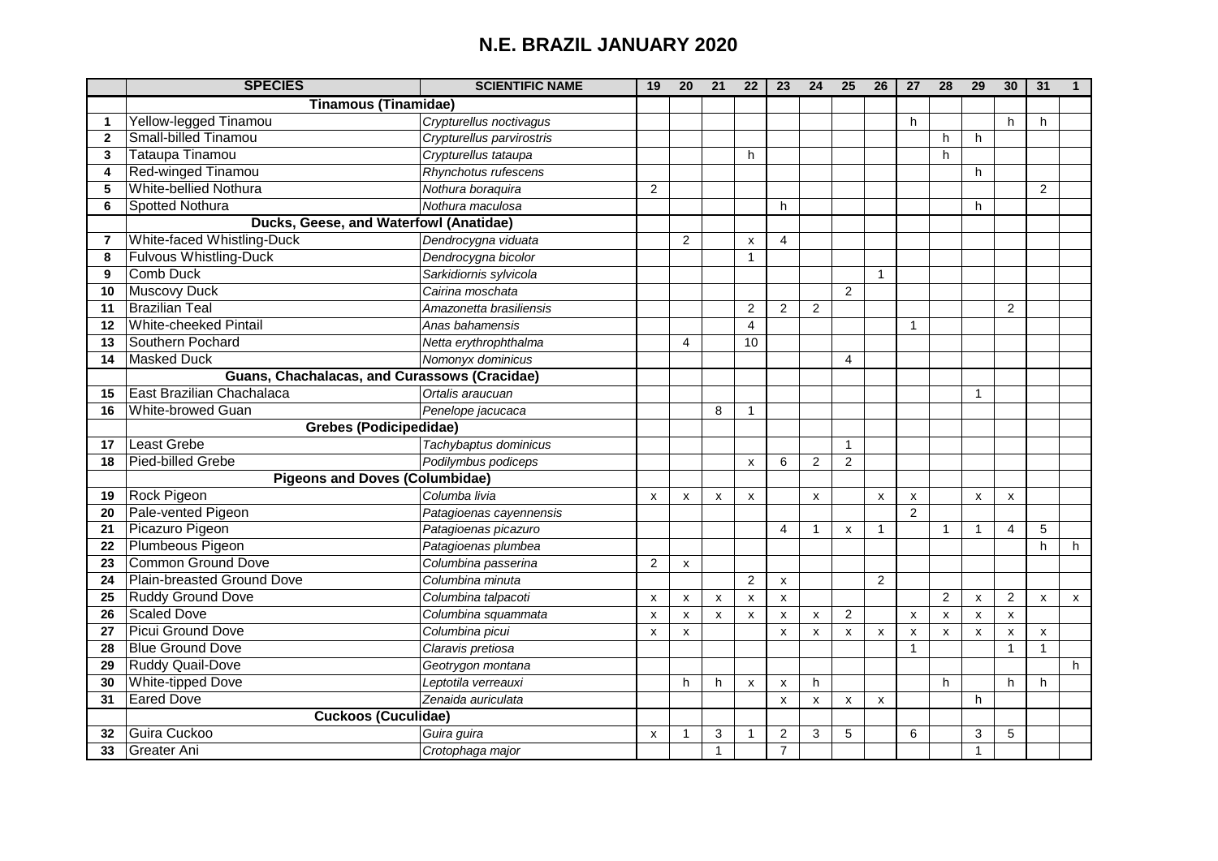|                | <b>SPECIES</b>                               | <b>SCIENTIFIC NAME</b>    | 19                        | $\overline{20}$           | 21                 | 22             | 23                        | 24                 | 25                        | 26             | 27                        | $\overline{28}$ | $\overline{29}$    | 30                        | $\overline{31}$ | 1            |
|----------------|----------------------------------------------|---------------------------|---------------------------|---------------------------|--------------------|----------------|---------------------------|--------------------|---------------------------|----------------|---------------------------|-----------------|--------------------|---------------------------|-----------------|--------------|
|                | <b>Tinamous (Tinamidae)</b>                  |                           |                           |                           |                    |                |                           |                    |                           |                |                           |                 |                    |                           |                 |              |
| 1              | Yellow-legged Tinamou                        | Crypturellus noctivagus   |                           |                           |                    |                |                           |                    |                           |                | h                         |                 |                    | h                         | h.              |              |
| $\overline{2}$ | Small-billed Tinamou                         | Crypturellus parvirostris |                           |                           |                    |                |                           |                    |                           |                |                           | h               | h                  |                           |                 |              |
| 3              | <b>Tataupa Tinamou</b>                       | Crypturellus tataupa      |                           |                           |                    | h              |                           |                    |                           |                |                           | h               |                    |                           |                 |              |
| 4              | <b>Red-winged Tinamou</b>                    | Rhynchotus rufescens      |                           |                           |                    |                |                           |                    |                           |                |                           |                 | h                  |                           |                 |              |
| 5              | White-bellied Nothura                        | Nothura boraquira         | $\overline{2}$            |                           |                    |                |                           |                    |                           |                |                           |                 |                    |                           | $\overline{2}$  |              |
| 6              | <b>Spotted Nothura</b>                       | Nothura maculosa          |                           |                           |                    |                | h                         |                    |                           |                |                           |                 | h                  |                           |                 |              |
|                | Ducks, Geese, and Waterfowl (Anatidae)       |                           |                           |                           |                    |                |                           |                    |                           |                |                           |                 |                    |                           |                 |              |
| 7              | White-faced Whistling-Duck                   | Dendrocygna viduata       |                           | $\overline{2}$            |                    | $\pmb{\chi}$   | 4                         |                    |                           |                |                           |                 |                    |                           |                 |              |
| 8              | <b>Fulvous Whistling-Duck</b>                | Dendrocygna bicolor       |                           |                           |                    | 1              |                           |                    |                           |                |                           |                 |                    |                           |                 |              |
| 9              | <b>Comb Duck</b>                             | Sarkidiornis sylvicola    |                           |                           |                    |                |                           |                    |                           | $\mathbf{1}$   |                           |                 |                    |                           |                 |              |
| 10             | <b>Muscovy Duck</b>                          | Cairina moschata          |                           |                           |                    |                |                           |                    | 2                         |                |                           |                 |                    |                           |                 |              |
| 11             | <b>Brazilian Teal</b>                        | Amazonetta brasiliensis   |                           |                           |                    | $\overline{2}$ | $\overline{2}$            | 2                  |                           |                |                           |                 |                    | 2                         |                 |              |
| 12             | White-cheeked Pintail                        | Anas bahamensis           |                           |                           |                    | $\overline{4}$ |                           |                    |                           |                | $\mathbf{1}$              |                 |                    |                           |                 |              |
| 13             | Southern Pochard                             | Netta erythrophthalma     |                           | 4                         |                    | 10             |                           |                    |                           |                |                           |                 |                    |                           |                 |              |
| 14             | <b>Masked Duck</b>                           | Nomonyx dominicus         |                           |                           |                    |                |                           |                    | $\overline{4}$            |                |                           |                 |                    |                           |                 |              |
|                | Guans, Chachalacas, and Curassows (Cracidae) |                           |                           |                           |                    |                |                           |                    |                           |                |                           |                 |                    |                           |                 |              |
| 15             | East Brazilian Chachalaca                    | Ortalis araucuan          |                           |                           |                    |                |                           |                    |                           |                |                           |                 | $\mathbf{1}$       |                           |                 |              |
| 16             | White-browed Guan                            | Penelope jacucaca         |                           |                           | 8                  | $\mathbf{1}$   |                           |                    |                           |                |                           |                 |                    |                           |                 |              |
|                | <b>Grebes (Podicipedidae)</b>                |                           |                           |                           |                    |                |                           |                    |                           |                |                           |                 |                    |                           |                 |              |
| 17             | Least Grebe                                  | Tachybaptus dominicus     |                           |                           |                    |                |                           |                    | 1                         |                |                           |                 |                    |                           |                 |              |
| 18             | Pied-billed Grebe                            | Podilymbus podiceps       |                           |                           |                    | $\mathsf{x}$   | 6                         | 2                  | $\overline{2}$            |                |                           |                 |                    |                           |                 |              |
|                | <b>Pigeons and Doves (Columbidae)</b>        |                           |                           |                           |                    |                |                           |                    |                           |                |                           |                 |                    |                           |                 |              |
| 19             | <b>Rock Pigeon</b>                           | Columba livia             | х                         | X                         | X                  | x              |                           | X                  |                           | X              | х                         |                 | X                  | X                         |                 |              |
| 20             | Pale-vented Pigeon                           | Patagioenas cayennensis   |                           |                           |                    |                |                           |                    |                           |                | 2                         |                 |                    |                           |                 |              |
| 21             | Picazuro Pigeon                              | Patagioenas picazuro      |                           |                           |                    |                | 4                         | $\mathbf{1}$       | x                         | $\overline{1}$ |                           | 1               | $\mathbf{1}$       | $\overline{4}$            | 5               |              |
| 22             | Plumbeous Pigeon                             | Patagioenas plumbea       |                           |                           |                    |                |                           |                    |                           |                |                           |                 |                    |                           | h               | h            |
| 23             | <b>Common Ground Dove</b>                    | Columbina passerina       | $\overline{c}$            | $\pmb{\times}$            |                    |                |                           |                    |                           |                |                           |                 |                    |                           |                 |              |
| 24             | <b>Plain-breasted Ground Dove</b>            | Columbina minuta          |                           |                           |                    | $\overline{2}$ | X                         |                    |                           | $\overline{2}$ |                           |                 |                    |                           |                 |              |
| 25             | <b>Ruddy Ground Dove</b>                     | Columbina talpacoti       | X                         | $\boldsymbol{\mathsf{X}}$ | $\mathsf{x}$       | $\mathsf{x}$   | X                         |                    |                           |                |                           | $\overline{2}$  | $\pmb{\mathsf{x}}$ | $\overline{c}$            | X               | $\mathsf{x}$ |
| 26             | <b>Scaled Dove</b>                           | Columbina squammata       | X                         | $\pmb{\mathsf{X}}$        | $\pmb{\mathsf{x}}$ | $\mathsf{x}$   | $\pmb{\times}$            | $\pmb{\mathsf{x}}$ | 2                         |                | $\pmb{\mathsf{x}}$        | X               | $\pmb{\mathsf{X}}$ | $\pmb{\mathsf{x}}$        |                 |              |
| 27             | <b>Picui Ground Dove</b>                     | Columbina picui           | $\boldsymbol{\mathsf{x}}$ | $\mathsf{x}$              |                    |                | $\boldsymbol{\mathsf{x}}$ | $\mathsf{x}$       | $\boldsymbol{\mathsf{x}}$ | $\mathsf{x}$   | $\boldsymbol{\mathsf{x}}$ | X               | $\mathsf{x}$       | $\boldsymbol{\mathsf{x}}$ | $\mathsf{x}$    |              |
| 28             | <b>Blue Ground Dove</b>                      | Claravis pretiosa         |                           |                           |                    |                |                           |                    |                           |                | $\overline{1}$            |                 |                    | $\mathbf{1}$              | $\mathbf{1}$    |              |
| 29             | <b>Ruddy Quail-Dove</b>                      | Geotrygon montana         |                           |                           |                    |                |                           |                    |                           |                |                           |                 |                    |                           |                 | h            |
| 30             | <b>White-tipped Dove</b>                     | Leptotila verreauxi       |                           | h                         | h                  | X              | х                         | h.                 |                           |                |                           | h               |                    | h                         | h.              |              |
| 31             | <b>Eared Dove</b>                            | Zenaida auriculata        |                           |                           |                    |                | $\boldsymbol{\mathsf{x}}$ | X                  | $\mathsf{x}$              | $\mathsf{x}$   |                           |                 | h                  |                           |                 |              |
|                | <b>Cuckoos (Cuculidae)</b>                   |                           |                           |                           |                    |                |                           |                    |                           |                |                           |                 |                    |                           |                 |              |
| 32             | Guira Cuckoo                                 | Guira guira               | х                         | $\mathbf{1}$              | 3                  | $\mathbf{1}$   | $\overline{\mathbf{c}}$   | 3                  | 5                         |                | 6                         |                 | 3                  | 5                         |                 |              |
| 33             | Greater Ani                                  | Crotophaga major          |                           |                           | $\mathbf{1}$       |                | $\overline{7}$            |                    |                           |                |                           |                 | $\overline{1}$     |                           |                 |              |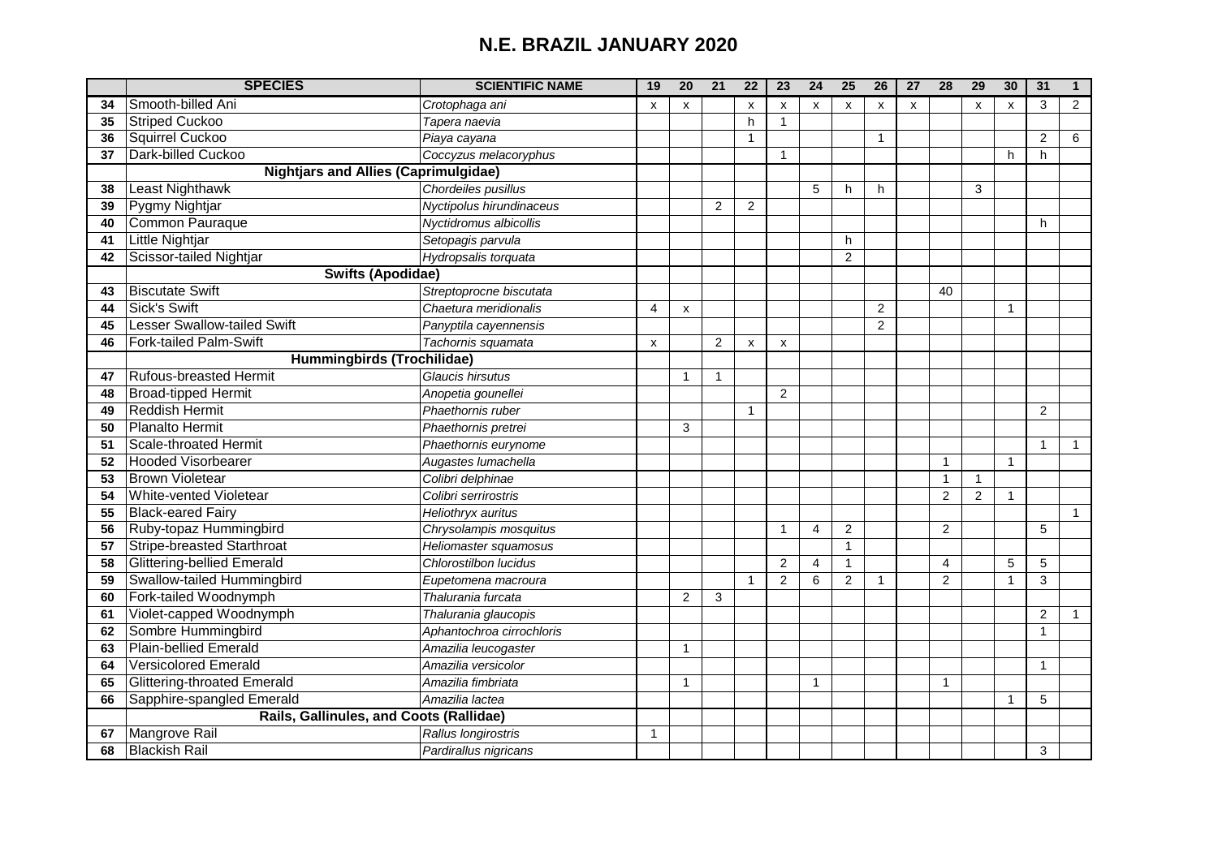|    | <b>SPECIES</b>                              | <b>SCIENTIFIC NAME</b>    | 19           | 20             | 21             | 22                        | 23             | 24             | 25             | 26             | 27 | 28             | 29             | 30                   | 31             | $\mathbf 1$    |
|----|---------------------------------------------|---------------------------|--------------|----------------|----------------|---------------------------|----------------|----------------|----------------|----------------|----|----------------|----------------|----------------------|----------------|----------------|
| 34 | Smooth-billed Ani                           | Crotophaga ani            | x            | $\mathsf{x}$   |                | X                         | X              | X              | X              | x              | X  |                | X              | x                    | 3              | 2              |
| 35 | <b>Striped Cuckoo</b>                       | Tapera naevia             |              |                |                | h                         | $\mathbf{1}$   |                |                |                |    |                |                |                      |                |                |
| 36 | Squirrel Cuckoo                             | Piaya cayana              |              |                |                | $\mathbf{1}$              |                |                |                | $\mathbf{1}$   |    |                |                |                      | $\overline{2}$ | 6              |
| 37 | Dark-billed Cuckoo                          | Coccyzus melacoryphus     |              |                |                |                           | 1              |                |                |                |    |                |                | h                    | h              |                |
|    | <b>Nightjars and Allies (Caprimulgidae)</b> |                           |              |                |                |                           |                |                |                |                |    |                |                |                      |                |                |
| 38 | Least Nighthawk                             | Chordeiles pusillus       |              |                |                |                           |                | 5              | h              | h              |    |                | 3              |                      |                |                |
| 39 | Pygmy Nightjar                              | Nyctipolus hirundinaceus  |              |                | 2              | 2                         |                |                |                |                |    |                |                |                      |                |                |
| 40 | Common Pauraque                             | Nyctidromus albicollis    |              |                |                |                           |                |                |                |                |    |                |                |                      | h              |                |
| 41 | <b>Little Nightjar</b>                      | Setopagis parvula         |              |                |                |                           |                |                | h              |                |    |                |                |                      |                |                |
| 42 | Scissor-tailed Nightjar                     | Hydropsalis torquata      |              |                |                |                           |                |                | $\overline{2}$ |                |    |                |                |                      |                |                |
|    | <b>Swifts (Apodidae)</b>                    |                           |              |                |                |                           |                |                |                |                |    |                |                |                      |                |                |
| 43 | <b>Biscutate Swift</b>                      | Streptoprocne biscutata   |              |                |                |                           |                |                |                |                |    | 40             |                |                      |                |                |
| 44 | <b>Sick's Swift</b>                         | Chaetura meridionalis     | 4            | $\pmb{\chi}$   |                |                           |                |                |                | $\overline{2}$ |    |                |                | $\mathbf{1}$         |                |                |
| 45 | <b>Lesser Swallow-tailed Swift</b>          | Panyptila cayennensis     |              |                |                |                           |                |                |                | $\overline{2}$ |    |                |                |                      |                |                |
| 46 | <b>Fork-tailed Palm-Swift</b>               | Tachornis squamata        | x            |                | $\overline{2}$ | $\boldsymbol{\mathsf{x}}$ | x              |                |                |                |    |                |                |                      |                |                |
|    | Hummingbirds (Trochilidae)                  |                           |              |                |                |                           |                |                |                |                |    |                |                |                      |                |                |
| 47 | <b>Rufous-breasted Hermit</b>               | Glaucis hirsutus          |              | $\overline{1}$ | $\mathbf{1}$   |                           |                |                |                |                |    |                |                |                      |                |                |
| 48 | <b>Broad-tipped Hermit</b>                  | Anopetia gounellei        |              |                |                |                           | $\overline{2}$ |                |                |                |    |                |                |                      |                |                |
| 49 | <b>Reddish Hermit</b>                       | Phaethornis ruber         |              |                |                | $\mathbf{1}$              |                |                |                |                |    |                |                |                      | 2              |                |
| 50 | <b>Planalto Hermit</b>                      | Phaethornis pretrei       |              | 3              |                |                           |                |                |                |                |    |                |                |                      |                |                |
| 51 | <b>Scale-throated Hermit</b>                | Phaethornis eurynome      |              |                |                |                           |                |                |                |                |    |                |                |                      | $\mathbf{1}$   | $\mathbf 1$    |
| 52 | <b>Hooded Visorbearer</b>                   | Augastes lumachella       |              |                |                |                           |                |                |                |                |    | $\mathbf{1}$   |                | $\overline{1}$       |                |                |
| 53 | <b>Brown Violetear</b>                      | Colibri delphinae         |              |                |                |                           |                |                |                |                |    | $\mathbf{1}$   | $\mathbf{1}$   |                      |                |                |
| 54 | <b>White-vented Violetear</b>               | Colibri serrirostris      |              |                |                |                           |                |                |                |                |    | $\overline{2}$ | $\overline{2}$ | $\mathbf{1}$         |                |                |
| 55 | <b>Black-eared Fairy</b>                    | Heliothryx auritus        |              |                |                |                           |                |                |                |                |    |                |                |                      |                | $\overline{1}$ |
| 56 | Ruby-topaz Hummingbird                      | Chrysolampis mosquitus    |              |                |                |                           | $\mathbf{1}$   | $\overline{4}$ | $\overline{2}$ |                |    | $\overline{2}$ |                |                      | 5              |                |
| 57 | <b>Stripe-breasted Starthroat</b>           | Heliomaster squamosus     |              |                |                |                           |                |                | $\mathbf{1}$   |                |    |                |                |                      |                |                |
| 58 | <b>Glittering-bellied Emerald</b>           | Chlorostilbon lucidus     |              |                |                |                           | $\overline{2}$ | $\overline{4}$ | $\mathbf{1}$   |                |    | 4              |                | 5                    | 5              |                |
| 59 | Swallow-tailed Hummingbird                  | Eupetomena macroura       |              |                |                | $\mathbf{1}$              | $\overline{2}$ | 6              | 2              | 1              |    | $\overline{2}$ |                | $\mathbf{1}$         | 3              |                |
| 60 | Fork-tailed Woodnymph                       | Thalurania furcata        |              | 2              | 3              |                           |                |                |                |                |    |                |                |                      |                |                |
| 61 | Violet-capped Woodnymph                     | Thalurania glaucopis      |              |                |                |                           |                |                |                |                |    |                |                |                      | 2              | $\overline{1}$ |
| 62 | Sombre Hummingbird                          | Aphantochroa cirrochloris |              |                |                |                           |                |                |                |                |    |                |                |                      | 1              |                |
| 63 | <b>Plain-bellied Emerald</b>                | Amazilia leucogaster      |              | $\mathbf{1}$   |                |                           |                |                |                |                |    |                |                |                      |                |                |
| 64 | <b>Versicolored Emerald</b>                 | Amazilia versicolor       |              |                |                |                           |                |                |                |                |    |                |                |                      | 1              |                |
| 65 | <b>Glittering-throated Emerald</b>          | Amazilia fimbriata        |              | 1              |                |                           |                | $\mathbf 1$    |                |                |    | $\mathbf{1}$   |                |                      |                |                |
| 66 | Sapphire-spangled Emerald                   | Amazilia lactea           |              |                |                |                           |                |                |                |                |    |                |                | $\blacktriangleleft$ | 5              |                |
|    | Rails, Gallinules, and Coots (Rallidae)     |                           |              |                |                |                           |                |                |                |                |    |                |                |                      |                |                |
| 67 | Mangrove Rail                               | Rallus longirostris       | $\mathbf{1}$ |                |                |                           |                |                |                |                |    |                |                |                      |                |                |
| 68 | <b>Blackish Rail</b>                        | Pardirallus nigricans     |              |                |                |                           |                |                |                |                |    |                |                |                      | 3              |                |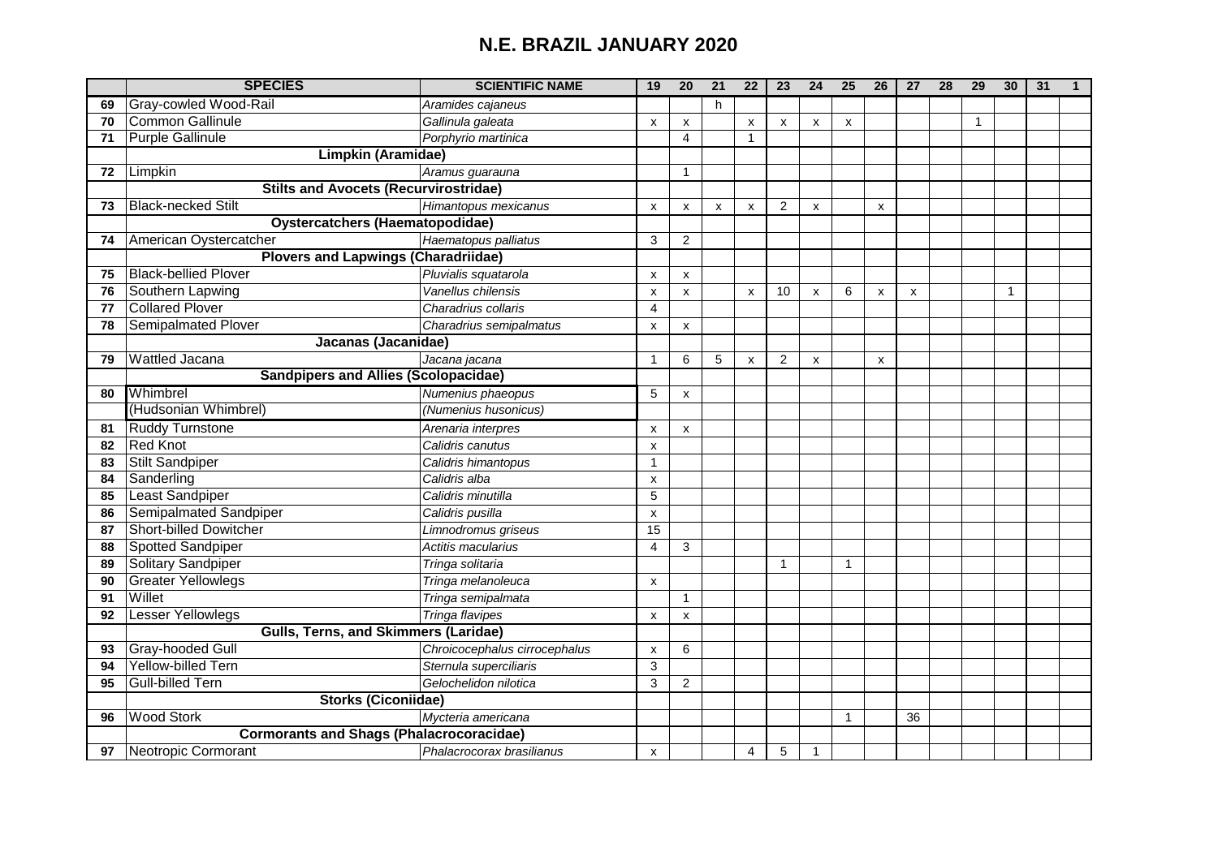|    | <b>SPECIES</b>                                  | <b>SCIENTIFIC NAME</b>        | 19                        | $\overline{20}$    | 21 | 22                        | 23             | 24                        | 25           | 26                        | 27 | 28 | 29           | 30          | 31 |  |
|----|-------------------------------------------------|-------------------------------|---------------------------|--------------------|----|---------------------------|----------------|---------------------------|--------------|---------------------------|----|----|--------------|-------------|----|--|
| 69 | Gray-cowled Wood-Rail                           | Aramides cajaneus             |                           |                    | h  |                           |                |                           |              |                           |    |    |              |             |    |  |
| 70 | Common Gallinule                                | Gallinula galeata             | $\boldsymbol{\mathsf{x}}$ | X                  |    | $\mathsf{x}$              | X              | $\boldsymbol{\mathsf{x}}$ | X            |                           |    |    | $\mathbf{1}$ |             |    |  |
| 71 | <b>Purple Gallinule</b>                         | Porphyrio martinica           |                           | $\overline{4}$     |    | $\overline{1}$            |                |                           |              |                           |    |    |              |             |    |  |
|    | Limpkin (Aramidae)                              |                               |                           |                    |    |                           |                |                           |              |                           |    |    |              |             |    |  |
| 72 | Limpkin                                         | Aramus guarauna               |                           | $\mathbf{1}$       |    |                           |                |                           |              |                           |    |    |              |             |    |  |
|    | <b>Stilts and Avocets (Recurvirostridae)</b>    |                               |                           |                    |    |                           |                |                           |              |                           |    |    |              |             |    |  |
| 73 | <b>Black-necked Stilt</b>                       | Himantopus mexicanus          | X                         | X                  | X  | $\boldsymbol{\mathsf{x}}$ | $\overline{2}$ | X                         |              | $\boldsymbol{\mathsf{x}}$ |    |    |              |             |    |  |
|    | <b>Oystercatchers (Haematopodidae)</b>          |                               |                           |                    |    |                           |                |                           |              |                           |    |    |              |             |    |  |
| 74 | American Oystercatcher                          | Haematopus palliatus          | 3                         | 2                  |    |                           |                |                           |              |                           |    |    |              |             |    |  |
|    | <b>Plovers and Lapwings (Charadriidae)</b>      |                               |                           |                    |    |                           |                |                           |              |                           |    |    |              |             |    |  |
| 75 | <b>Black-bellied Plover</b>                     | Pluvialis squatarola          | x                         | X                  |    |                           |                |                           |              |                           |    |    |              |             |    |  |
| 76 | Southern Lapwing                                | Vanellus chilensis            | X                         | X                  |    | X                         | 10             | X                         | 6            | x                         | X  |    |              | $\mathbf 1$ |    |  |
| 77 | <b>Collared Plover</b>                          | Charadrius collaris           | 4                         |                    |    |                           |                |                           |              |                           |    |    |              |             |    |  |
| 78 | <b>Semipalmated Plover</b>                      | Charadrius semipalmatus       | X                         | X                  |    |                           |                |                           |              |                           |    |    |              |             |    |  |
|    | Jacanas (Jacanidae)                             |                               |                           |                    |    |                           |                |                           |              |                           |    |    |              |             |    |  |
| 79 | <b>Wattled Jacana</b>                           | Jacana jacana                 | $\mathbf{1}$              | 6                  | 5  | $\boldsymbol{\mathsf{x}}$ | $\overline{2}$ | X                         |              | $\mathsf{x}$              |    |    |              |             |    |  |
|    | <b>Sandpipers and Allies (Scolopacidae)</b>     |                               |                           |                    |    |                           |                |                           |              |                           |    |    |              |             |    |  |
| 80 | Whimbrel                                        | Numenius phaeopus             | 5                         | $\mathsf{x}$       |    |                           |                |                           |              |                           |    |    |              |             |    |  |
|    | (Hudsonian Whimbrel)                            | (Numenius husonicus)          |                           |                    |    |                           |                |                           |              |                           |    |    |              |             |    |  |
| 81 | <b>Ruddy Turnstone</b>                          | Arenaria interpres            | X                         | X                  |    |                           |                |                           |              |                           |    |    |              |             |    |  |
| 82 | <b>Red Knot</b>                                 | Calidris canutus              | $\pmb{\mathsf{X}}$        |                    |    |                           |                |                           |              |                           |    |    |              |             |    |  |
| 83 | <b>Stilt Sandpiper</b>                          | Calidris himantopus           | $\mathbf{1}$              |                    |    |                           |                |                           |              |                           |    |    |              |             |    |  |
| 84 | Sanderling                                      | Calidris alba                 | X                         |                    |    |                           |                |                           |              |                           |    |    |              |             |    |  |
| 85 | Least Sandpiper                                 | Calidris minutilla            | 5                         |                    |    |                           |                |                           |              |                           |    |    |              |             |    |  |
| 86 | Semipalmated Sandpiper                          | Calidris pusilla              | $\pmb{\mathsf{X}}$        |                    |    |                           |                |                           |              |                           |    |    |              |             |    |  |
| 87 | <b>Short-billed Dowitcher</b>                   | Limnodromus griseus           | 15                        |                    |    |                           |                |                           |              |                           |    |    |              |             |    |  |
| 88 | <b>Spotted Sandpiper</b>                        | Actitis macularius            | $\overline{\mathbf{4}}$   | 3                  |    |                           |                |                           |              |                           |    |    |              |             |    |  |
| 89 | <b>Solitary Sandpiper</b>                       | Tringa solitaria              |                           |                    |    |                           | $\mathbf{1}$   |                           | $\mathbf{1}$ |                           |    |    |              |             |    |  |
| 90 | <b>Greater Yellowlegs</b>                       | Tringa melanoleuca            | X                         |                    |    |                           |                |                           |              |                           |    |    |              |             |    |  |
| 91 | Willet                                          | Tringa semipalmata            |                           | $\mathbf{1}$       |    |                           |                |                           |              |                           |    |    |              |             |    |  |
| 92 | Lesser Yellowlegs                               | Tringa flavipes               | $\pmb{\mathsf{X}}$        | $\pmb{\mathsf{x}}$ |    |                           |                |                           |              |                           |    |    |              |             |    |  |
|    | <b>Gulls, Terns, and Skimmers (Laridae)</b>     |                               |                           |                    |    |                           |                |                           |              |                           |    |    |              |             |    |  |
| 93 | <b>Gray-hooded Gull</b>                         | Chroicocephalus cirrocephalus | X                         | 6                  |    |                           |                |                           |              |                           |    |    |              |             |    |  |
| 94 | Yellow-billed Tern                              | Sternula superciliaris        | 3                         |                    |    |                           |                |                           |              |                           |    |    |              |             |    |  |
| 95 | <b>Gull-billed Tern</b>                         | Gelochelidon nilotica         | 3                         | $\overline{2}$     |    |                           |                |                           |              |                           |    |    |              |             |    |  |
|    | <b>Storks (Ciconiidae)</b>                      |                               |                           |                    |    |                           |                |                           |              |                           |    |    |              |             |    |  |
| 96 | <b>Wood Stork</b>                               | Mycteria americana            |                           |                    |    |                           |                |                           | $\mathbf{1}$ |                           | 36 |    |              |             |    |  |
|    | <b>Cormorants and Shags (Phalacrocoracidae)</b> |                               |                           |                    |    |                           |                |                           |              |                           |    |    |              |             |    |  |
| 97 | Neotropic Cormorant                             | Phalacrocorax brasilianus     | X                         |                    |    | $\overline{4}$            | 5              | $\overline{1}$            |              |                           |    |    |              |             |    |  |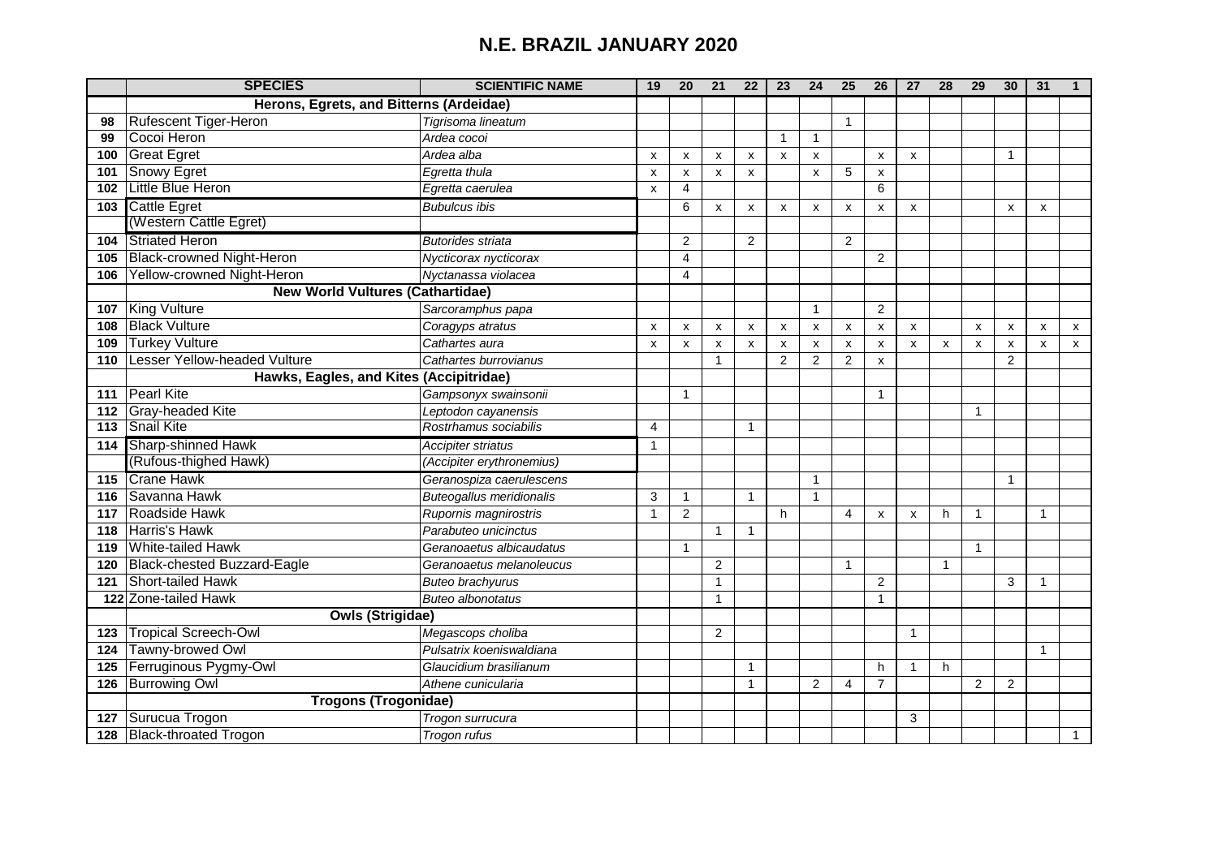|     | <b>SPECIES</b>                          | <b>SCIENTIFIC NAME</b>          | 19           | 20                        | 21             | 22                        | 23                        | 24             | 25             | 26                        | 27 | 28           | 29             | 30             | 31           | 1            |
|-----|-----------------------------------------|---------------------------------|--------------|---------------------------|----------------|---------------------------|---------------------------|----------------|----------------|---------------------------|----|--------------|----------------|----------------|--------------|--------------|
|     | Herons, Egrets, and Bitterns (Ardeidae) |                                 |              |                           |                |                           |                           |                |                |                           |    |              |                |                |              |              |
| 98  | <b>Rufescent Tiger-Heron</b>            | Tigrisoma lineatum              |              |                           |                |                           |                           |                | $\mathbf{1}$   |                           |    |              |                |                |              |              |
| 99  | Cocoi Heron                             | Ardea cocoi                     |              |                           |                |                           | $\overline{1}$            | $\mathbf{1}$   |                |                           |    |              |                |                |              |              |
| 100 | <b>Great Egret</b>                      | Ardea alba                      | X            | $\boldsymbol{\mathsf{x}}$ | X              | $\boldsymbol{\mathsf{x}}$ | $\boldsymbol{\mathsf{x}}$ | X              |                | $\boldsymbol{\mathsf{x}}$ | x  |              |                | $\mathbf{1}$   |              |              |
| 101 | <b>Snowy Egret</b>                      | Egretta thula                   | X            | $\pmb{\mathsf{X}}$        | X              | X                         |                           | X              | 5              | $\pmb{\times}$            |    |              |                |                |              |              |
| 102 | Little Blue Heron                       | Egretta caerulea                | X            | $\overline{4}$            |                |                           |                           |                |                | 6                         |    |              |                |                |              |              |
| 103 | <b>Cattle Egret</b>                     | <b>Bubulcus ibis</b>            |              | 6                         | X              | X                         | X                         | X              | X              | X                         | X  |              |                | X              | X            |              |
|     | (Western Cattle Egret)                  |                                 |              |                           |                |                           |                           |                |                |                           |    |              |                |                |              |              |
| 104 | <b>Striated Heron</b>                   | <b>Butorides striata</b>        |              | 2                         |                | $\overline{2}$            |                           |                | $\overline{2}$ |                           |    |              |                |                |              |              |
| 105 | <b>Black-crowned Night-Heron</b>        | Nycticorax nycticorax           |              | $\overline{4}$            |                |                           |                           |                |                | $\overline{2}$            |    |              |                |                |              |              |
| 106 | Yellow-crowned Night-Heron              | Nyctanassa violacea             |              | 4                         |                |                           |                           |                |                |                           |    |              |                |                |              |              |
|     | <b>New World Vultures (Cathartidae)</b> |                                 |              |                           |                |                           |                           |                |                |                           |    |              |                |                |              |              |
| 107 | <b>King Vulture</b>                     | Sarcoramphus papa               |              |                           |                |                           |                           | $\mathbf{1}$   |                | $\overline{2}$            |    |              |                |                |              |              |
| 108 | <b>Black Vulture</b>                    | Coragyps atratus                | x            | X                         | X              | X                         | X                         | x              | X              | X                         | x  |              | X              | X              | X            | X            |
| 109 | <b>Turkey Vulture</b>                   | Cathartes aura                  | X            | X                         | X              | $\boldsymbol{\mathsf{x}}$ | X                         | X              | X              | X                         | X  | X            | $\pmb{\times}$ | X              | X            | X            |
| 110 | Lesser Yellow-headed Vulture            | Cathartes burrovianus           |              |                           | $\mathbf 1$    |                           | 2                         | 2              | 2              | $\boldsymbol{\mathsf{x}}$ |    |              |                | 2              |              |              |
|     | Hawks, Eagles, and Kites (Accipitridae) |                                 |              |                           |                |                           |                           |                |                |                           |    |              |                |                |              |              |
| 111 | <b>Pearl Kite</b>                       | Gampsonyx swainsonii            |              | $\mathbf{1}$              |                |                           |                           |                |                | $\mathbf{1}$              |    |              |                |                |              |              |
| 112 | <b>Gray-headed Kite</b>                 | Leptodon cayanensis             |              |                           |                |                           |                           |                |                |                           |    |              | $\mathbf{1}$   |                |              |              |
| 113 | <b>Snail Kite</b>                       | Rostrhamus sociabilis           | 4            |                           |                | $\overline{1}$            |                           |                |                |                           |    |              |                |                |              |              |
| 114 | Sharp-shinned Hawk                      | Accipiter striatus              | $\mathbf{1}$ |                           |                |                           |                           |                |                |                           |    |              |                |                |              |              |
|     | (Rufous-thighed Hawk)                   | (Accipiter erythronemius)       |              |                           |                |                           |                           |                |                |                           |    |              |                |                |              |              |
| 115 | <b>Crane Hawk</b>                       | Geranospiza caerulescens        |              |                           |                |                           |                           | $\mathbf{1}$   |                |                           |    |              |                | $\overline{1}$ |              |              |
| 116 | Savanna Hawk                            | <b>Buteogallus meridionalis</b> | 3            | $\mathbf{1}$              |                | $\overline{1}$            |                           | $\mathbf{1}$   |                |                           |    |              |                |                |              |              |
| 117 | Roadside Hawk                           | Rupornis magnirostris           | $\mathbf{1}$ | 2                         |                |                           | h                         |                | 4              | X                         | x  | h            | $\mathbf{1}$   |                | $\mathbf{1}$ |              |
| 118 | Harris's Hawk                           | Parabuteo unicinctus            |              |                           | $\mathbf{1}$   | $\mathbf{1}$              |                           |                |                |                           |    |              |                |                |              |              |
| 119 | White-tailed Hawk                       | Geranoaetus albicaudatus        |              | $\mathbf{1}$              |                |                           |                           |                |                |                           |    |              | $\mathbf{1}$   |                |              |              |
| 120 | <b>Black-chested Buzzard-Eagle</b>      | Geranoaetus melanoleucus        |              |                           | $\overline{2}$ |                           |                           |                | $\mathbf{1}$   |                           |    | $\mathbf{1}$ |                |                |              |              |
| 121 | Short-tailed Hawk                       | <b>Buteo brachyurus</b>         |              |                           | $\mathbf 1$    |                           |                           |                |                | $\overline{2}$            |    |              |                | 3              | $\mathbf{1}$ |              |
|     | 122 Zone-tailed Hawk                    | <b>Buteo albonotatus</b>        |              |                           | $\overline{1}$ |                           |                           |                |                | $\overline{1}$            |    |              |                |                |              |              |
|     | <b>Owls (Strigidae)</b>                 |                                 |              |                           |                |                           |                           |                |                |                           |    |              |                |                |              |              |
| 123 | <b>Tropical Screech-Owl</b>             | Megascops choliba               |              |                           | 2              |                           |                           |                |                |                           | 1  |              |                |                |              |              |
| 124 | Tawny-browed Owl                        | Pulsatrix koeniswaldiana        |              |                           |                |                           |                           |                |                |                           |    |              |                |                | $\mathbf{1}$ |              |
| 125 | Ferruginous Pygmy-Owl                   | Glaucidium brasilianum          |              |                           |                | $\mathbf{1}$              |                           |                |                | h                         | 1  | h            |                |                |              |              |
| 126 | <b>Burrowing Owl</b>                    | Athene cunicularia              |              |                           |                | 1                         |                           | $\overline{2}$ | 4              | $\overline{7}$            |    |              | $\overline{2}$ | $\overline{2}$ |              |              |
|     | <b>Trogons (Trogonidae)</b>             |                                 |              |                           |                |                           |                           |                |                |                           |    |              |                |                |              |              |
| 127 | Surucua Trogon                          | Trogon surrucura                |              |                           |                |                           |                           |                |                |                           | 3  |              |                |                |              |              |
| 128 | <b>Black-throated Trogon</b>            | Trogon rufus                    |              |                           |                |                           |                           |                |                |                           |    |              |                |                |              | $\mathbf{1}$ |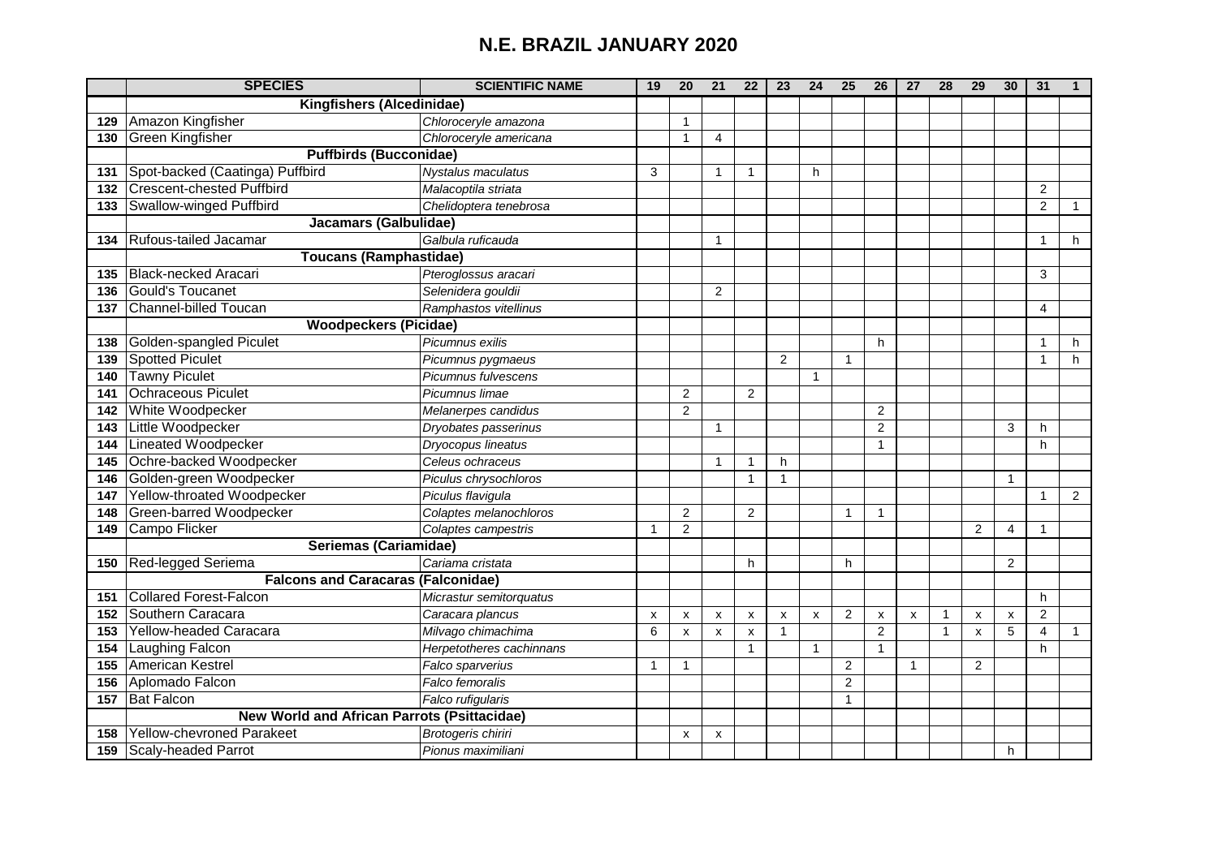|     | <b>SPECIES</b>                                     | <b>SCIENTIFIC NAME</b>   | 19           | 20                        | 21             | 22                        | 23             | 24           | 25             | 26             | 27           | 28             | 29           | 30             | 31             |              |
|-----|----------------------------------------------------|--------------------------|--------------|---------------------------|----------------|---------------------------|----------------|--------------|----------------|----------------|--------------|----------------|--------------|----------------|----------------|--------------|
|     | <b>Kingfishers (Alcedinidae)</b>                   |                          |              |                           |                |                           |                |              |                |                |              |                |              |                |                |              |
| 129 | Amazon Kingfisher                                  | Chloroceryle amazona     |              | $\overline{1}$            |                |                           |                |              |                |                |              |                |              |                |                |              |
| 130 | <b>Green Kingfisher</b>                            | Chloroceryle americana   |              | $\overline{1}$            | $\overline{4}$ |                           |                |              |                |                |              |                |              |                |                |              |
|     | <b>Puffbirds (Bucconidae)</b>                      |                          |              |                           |                |                           |                |              |                |                |              |                |              |                |                |              |
| 131 | Spot-backed (Caatinga) Puffbird                    | Nystalus maculatus       | 3            |                           | $\mathbf 1$    | 1                         |                | h            |                |                |              |                |              |                |                |              |
| 132 | <b>Crescent-chested Puffbird</b>                   | Malacoptila striata      |              |                           |                |                           |                |              |                |                |              |                |              |                | $\overline{c}$ |              |
| 133 | Swallow-winged Puffbird                            | Chelidoptera tenebrosa   |              |                           |                |                           |                |              |                |                |              |                |              |                | $\overline{2}$ | $\mathbf 1$  |
|     | <b>Jacamars (Galbulidae)</b>                       |                          |              |                           |                |                           |                |              |                |                |              |                |              |                |                |              |
| 134 | Rufous-tailed Jacamar                              | Galbula ruficauda        |              |                           | $\mathbf 1$    |                           |                |              |                |                |              |                |              |                | $\overline{1}$ | h            |
|     | <b>Toucans (Ramphastidae)</b>                      |                          |              |                           |                |                           |                |              |                |                |              |                |              |                |                |              |
| 135 | <b>Black-necked Aracari</b>                        | Pteroglossus aracari     |              |                           |                |                           |                |              |                |                |              |                |              |                | 3              |              |
| 136 | <b>Gould's Toucanet</b>                            | Selenidera gouldii       |              |                           | 2              |                           |                |              |                |                |              |                |              |                |                |              |
| 137 | <b>Channel-billed Toucan</b>                       | Ramphastos vitellinus    |              |                           |                |                           |                |              |                |                |              |                |              |                | 4              |              |
|     | <b>Woodpeckers (Picidae)</b>                       |                          |              |                           |                |                           |                |              |                |                |              |                |              |                |                |              |
| 138 | Golden-spangled Piculet                            | Picumnus exilis          |              |                           |                |                           |                |              |                | h              |              |                |              |                | $\overline{1}$ | h            |
| 139 | <b>Spotted Piculet</b>                             | Picumnus pygmaeus        |              |                           |                |                           | $\overline{2}$ |              | $\mathbf{1}$   |                |              |                |              |                | -1             | h            |
| 140 | <b>Tawny Piculet</b>                               | Picumnus fulvescens      |              |                           |                |                           |                | $\mathbf{1}$ |                |                |              |                |              |                |                |              |
| 141 | <b>Ochraceous Piculet</b>                          | Picumnus limae           |              | $\overline{2}$            |                | $\overline{2}$            |                |              |                |                |              |                |              |                |                |              |
| 142 | White Woodpecker                                   | Melanerpes candidus      |              | 2                         |                |                           |                |              |                | $\overline{2}$ |              |                |              |                |                |              |
| 143 | Little Woodpecker                                  | Dryobates passerinus     |              |                           | $\mathbf{1}$   |                           |                |              |                | $\overline{c}$ |              |                |              | 3              | h.             |              |
| 144 | <b>Lineated Woodpecker</b>                         | Dryocopus lineatus       |              |                           |                |                           |                |              |                | 1              |              |                |              |                | h              |              |
| 145 | Ochre-backed Woodpecker                            | Celeus ochraceus         |              |                           | $\mathbf{1}$   | $\mathbf{1}$              | h              |              |                |                |              |                |              |                |                |              |
| 146 | Golden-green Woodpecker                            | Piculus chrysochloros    |              |                           |                | $\mathbf{1}$              | $\overline{1}$ |              |                |                |              |                |              | $\overline{1}$ |                |              |
| 147 | Yellow-throated Woodpecker                         | Piculus flavigula        |              |                           |                |                           |                |              |                |                |              |                |              |                | $\overline{1}$ | $\mathbf{2}$ |
| 148 | Green-barred Woodpecker                            | Colaptes melanochloros   |              | 2                         |                | $\overline{2}$            |                |              | $\mathbf{1}$   | 1              |              |                |              |                |                |              |
| 149 | Campo Flicker                                      | Colaptes campestris      | 1            | $\overline{2}$            |                |                           |                |              |                |                |              |                | 2            | $\overline{4}$ | $\overline{1}$ |              |
|     | Seriemas (Cariamidae)                              |                          |              |                           |                |                           |                |              |                |                |              |                |              |                |                |              |
| 150 | Red-legged Seriema                                 | Cariama cristata         |              |                           |                | h                         |                |              | h              |                |              |                |              | $\overline{2}$ |                |              |
|     | <b>Falcons and Caracaras (Falconidae)</b>          |                          |              |                           |                |                           |                |              |                |                |              |                |              |                |                |              |
| 151 | <b>Collared Forest-Falcon</b>                      | Micrastur semitorquatus  |              |                           |                |                           |                |              |                |                |              |                |              |                | h              |              |
| 152 | Southern Caracara                                  | Caracara plancus         | x            | X                         | X              | X                         | X              | X            | $\overline{c}$ | X              | X            | $\overline{1}$ | X            | X              | 2              |              |
| 153 | <b>Yellow-headed Caracara</b>                      | Milvago chimachima       | 6            | $\boldsymbol{\mathsf{x}}$ | X              | $\boldsymbol{\mathsf{x}}$ | $\overline{1}$ |              |                | $\overline{2}$ |              | $\mathbf{1}$   | $\mathsf{x}$ | 5              | $\overline{4}$ | $\mathbf{1}$ |
| 154 | Laughing Falcon                                    | Herpetotheres cachinnans |              |                           |                | $\mathbf{1}$              |                | $\mathbf{1}$ |                | $\mathbf{1}$   |              |                |              |                | h              |              |
| 155 | <b>American Kestrel</b>                            | Falco sparverius         | $\mathbf{1}$ | $\overline{1}$            |                |                           |                |              | $\overline{2}$ |                | $\mathbf{1}$ |                | 2            |                |                |              |
| 156 | Aplomado Falcon                                    | Falco femoralis          |              |                           |                |                           |                |              | $\overline{2}$ |                |              |                |              |                |                |              |
| 157 | <b>Bat Falcon</b>                                  | Falco rufigularis        |              |                           |                |                           |                |              | $\mathbf{1}$   |                |              |                |              |                |                |              |
|     | <b>New World and African Parrots (Psittacidae)</b> |                          |              |                           |                |                           |                |              |                |                |              |                |              |                |                |              |
| 158 | <b>Yellow-chevroned Parakeet</b>                   | Brotogeris chiriri       |              | X                         | X              |                           |                |              |                |                |              |                |              |                |                |              |
| 159 | Scaly-headed Parrot                                | Pionus maximiliani       |              |                           |                |                           |                |              |                |                |              |                |              | h              |                |              |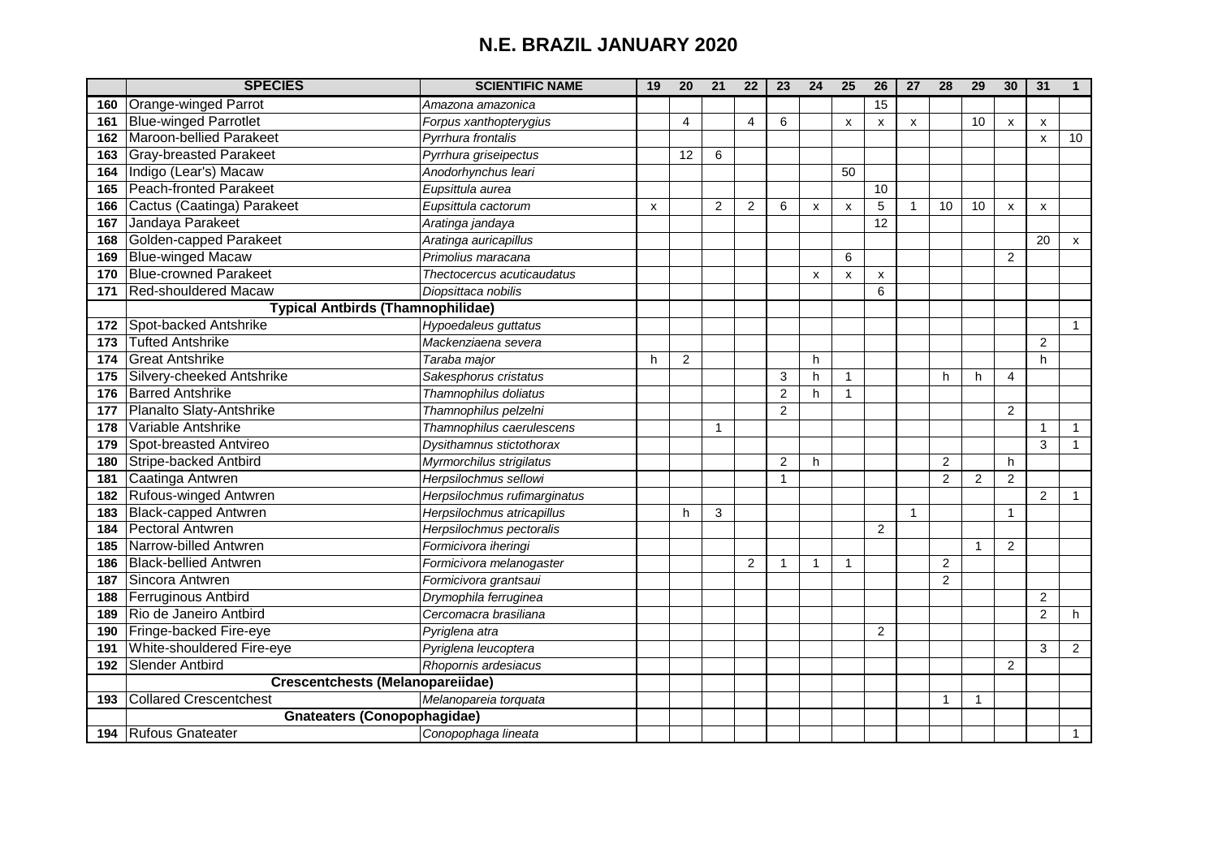|     | <b>SPECIES</b>                           | <b>SCIENTIFIC NAME</b>       | 19 | 20             | 21 | 22             | 23                       | 24           | 25                        | 26              | 27           | 28             | 29           | 30             | 31             | 1            |
|-----|------------------------------------------|------------------------------|----|----------------|----|----------------|--------------------------|--------------|---------------------------|-----------------|--------------|----------------|--------------|----------------|----------------|--------------|
| 160 | Orange-winged Parrot                     | Amazona amazonica            |    |                |    |                |                          |              |                           | 15              |              |                |              |                |                |              |
| 161 | <b>Blue-winged Parrotlet</b>             | Forpus xanthopterygius       |    | $\overline{4}$ |    | 4              | 6                        |              | $\boldsymbol{\mathsf{x}}$ | X               | x            |                | 10           | X              | X              |              |
| 162 | Maroon-bellied Parakeet                  | Pyrrhura frontalis           |    |                |    |                |                          |              |                           |                 |              |                |              |                | X              | 10           |
| 163 | <b>Gray-breasted Parakeet</b>            | Pyrrhura griseipectus        |    | 12             | 6  |                |                          |              |                           |                 |              |                |              |                |                |              |
| 164 | Indigo (Lear's) Macaw                    | Anodorhynchus leari          |    |                |    |                |                          |              | 50                        |                 |              |                |              |                |                |              |
| 165 | <b>Peach-fronted Parakeet</b>            | Eupsittula aurea             |    |                |    |                |                          |              |                           | 10              |              |                |              |                |                |              |
| 166 | Cactus (Caatinga) Parakeet               | Eupsittula cactorum          | X  |                | 2  | $\overline{2}$ | 6                        | X            | X                         | 5               | 1            | 10             | 10           | X              | X              |              |
| 167 | Jandaya Parakeet                         | Aratinga jandaya             |    |                |    |                |                          |              |                           | $\overline{12}$ |              |                |              |                |                |              |
| 168 | Golden-capped Parakeet                   | Aratinga auricapillus        |    |                |    |                |                          |              |                           |                 |              |                |              |                | 20             | X            |
| 169 | <b>Blue-winged Macaw</b>                 | Primolius maracana           |    |                |    |                |                          |              | 6                         |                 |              |                |              | $\overline{2}$ |                |              |
| 170 | <b>Blue-crowned Parakeet</b>             | Thectocercus acuticaudatus   |    |                |    |                |                          | x            | X                         | X               |              |                |              |                |                |              |
| 171 | <b>Red-shouldered Macaw</b>              | Diopsittaca nobilis          |    |                |    |                |                          |              |                           | 6               |              |                |              |                |                |              |
|     | <b>Typical Antbirds (Thamnophilidae)</b> |                              |    |                |    |                |                          |              |                           |                 |              |                |              |                |                |              |
| 172 | Spot-backed Antshrike                    | Hypoedaleus guttatus         |    |                |    |                |                          |              |                           |                 |              |                |              |                |                | $\mathbf 1$  |
| 173 | <b>Tufted Antshrike</b>                  | Mackenziaena severa          |    |                |    |                |                          |              |                           |                 |              |                |              |                | $\overline{2}$ |              |
| 174 | <b>Great Antshrike</b>                   | Taraba major                 | h  | 2              |    |                |                          | h            |                           |                 |              |                |              |                | h              |              |
| 175 | Silvery-cheeked Antshrike                | Sakesphorus cristatus        |    |                |    |                | 3                        | h            | $\mathbf{1}$              |                 |              | h              | h            | 4              |                |              |
| 176 | <b>Barred Antshrike</b>                  | Thamnophilus doliatus        |    |                |    |                | $\overline{2}$           | h            | $\mathbf{1}$              |                 |              |                |              |                |                |              |
| 177 | Planalto Slaty-Antshrike                 | Thamnophilus pelzelni        |    |                |    |                | $\overline{2}$           |              |                           |                 |              |                |              | $\overline{2}$ |                |              |
| 178 | Variable Antshrike                       | Thamnophilus caerulescens    |    |                | -1 |                |                          |              |                           |                 |              |                |              |                | $\mathbf 1$    |              |
| 179 | Spot-breasted Antvireo                   | Dysithamnus stictothorax     |    |                |    |                |                          |              |                           |                 |              |                |              |                | 3              |              |
| 180 | Stripe-backed Antbird                    | Myrmorchilus strigilatus     |    |                |    |                | 2                        | h            |                           |                 |              | 2              |              | h              |                |              |
| 181 | Caatinga Antwren                         | Herpsilochmus sellowi        |    |                |    |                | $\overline{\phantom{a}}$ |              |                           |                 |              | $\overline{2}$ | 2            | $\overline{2}$ |                |              |
| 182 | <b>Rufous-winged Antwren</b>             | Herpsilochmus rufimarginatus |    |                |    |                |                          |              |                           |                 |              |                |              |                | $\overline{2}$ |              |
| 183 | <b>Black-capped Antwren</b>              | Herpsilochmus atricapillus   |    | h              | 3  |                |                          |              |                           |                 | $\mathbf{1}$ |                |              | $\mathbf{1}$   |                |              |
| 184 | <b>Pectoral Antwren</b>                  | Herpsilochmus pectoralis     |    |                |    |                |                          |              |                           | 2               |              |                |              |                |                |              |
| 185 | Narrow-billed Antwren                    | Formicivora iheringi         |    |                |    |                |                          |              |                           |                 |              |                | $\mathbf{1}$ | 2              |                |              |
| 186 | <b>Black-bellied Antwren</b>             | Formicivora melanogaster     |    |                |    | 2              | 1                        | $\mathbf{1}$ | $\mathbf{1}$              |                 |              | $\overline{2}$ |              |                |                |              |
| 187 | Sincora Antwren                          | Formicivora grantsaui        |    |                |    |                |                          |              |                           |                 |              | $\overline{2}$ |              |                |                |              |
| 188 | <b>Ferruginous Antbird</b>               | Drymophila ferruginea        |    |                |    |                |                          |              |                           |                 |              |                |              |                | $\overline{2}$ |              |
| 189 | Rio de Janeiro Antbird                   | Cercomacra brasiliana        |    |                |    |                |                          |              |                           |                 |              |                |              |                | $\overline{c}$ | h            |
| 190 | Fringe-backed Fire-eye                   | Pyriglena atra               |    |                |    |                |                          |              |                           | 2               |              |                |              |                |                |              |
| 191 | White-shouldered Fire-eye                | Pyriglena leucoptera         |    |                |    |                |                          |              |                           |                 |              |                |              |                | 3              | 2            |
| 192 | <b>Slender Antbird</b>                   | Rhopornis ardesiacus         |    |                |    |                |                          |              |                           |                 |              |                |              | $\overline{2}$ |                |              |
|     | <b>Crescentchests (Melanopareiidae)</b>  |                              |    |                |    |                |                          |              |                           |                 |              |                |              |                |                |              |
| 193 | <b>Collared Crescentchest</b>            | Melanopareia torquata        |    |                |    |                |                          |              |                           |                 |              | 1              | $\mathbf{1}$ |                |                |              |
|     | <b>Gnateaters (Conopophagidae)</b>       |                              |    |                |    |                |                          |              |                           |                 |              |                |              |                |                |              |
|     | 194 Rufous Gnateater                     | Conopophaga lineata          |    |                |    |                |                          |              |                           |                 |              |                |              |                |                | $\mathbf{1}$ |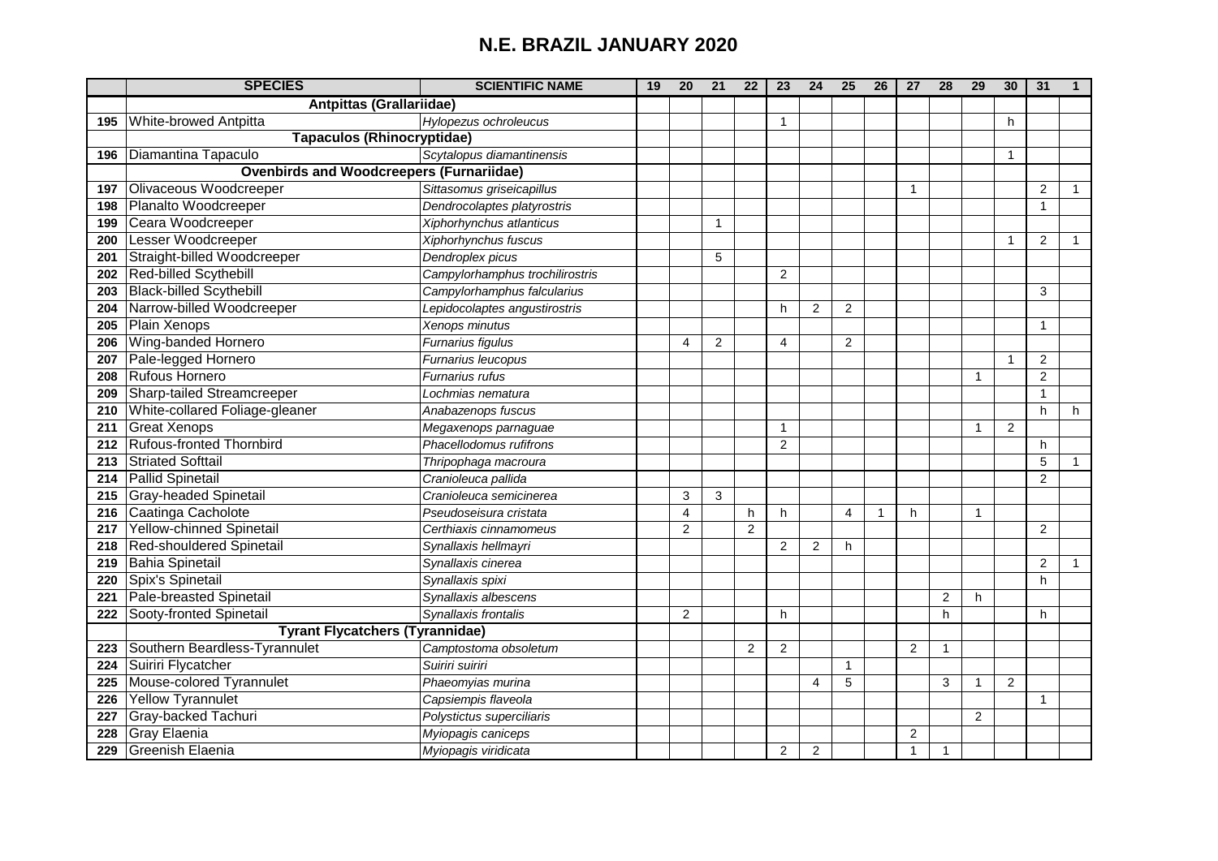|     | <b>SPECIES</b>                                  | <b>SCIENTIFIC NAME</b>          | 19 | 20             | 21           | 22             | 23             | 24             | 25             | 26             | 27           | 28             | $\overline{29}$ | 30             | 31             | $\mathbf 1$    |
|-----|-------------------------------------------------|---------------------------------|----|----------------|--------------|----------------|----------------|----------------|----------------|----------------|--------------|----------------|-----------------|----------------|----------------|----------------|
|     | <b>Antpittas (Grallariidae)</b>                 |                                 |    |                |              |                |                |                |                |                |              |                |                 |                |                |                |
| 195 | <b>White-browed Antpitta</b>                    | Hylopezus ochroleucus           |    |                |              |                | 1              |                |                |                |              |                |                 | $\mathsf{h}$   |                |                |
|     | <b>Tapaculos (Rhinocryptidae)</b>               |                                 |    |                |              |                |                |                |                |                |              |                |                 |                |                |                |
| 196 | Diamantina Tapaculo                             | Scytalopus diamantinensis       |    |                |              |                |                |                |                |                |              |                |                 | $\mathbf{1}$   |                |                |
|     | <b>Ovenbirds and Woodcreepers (Furnariidae)</b> |                                 |    |                |              |                |                |                |                |                |              |                |                 |                |                |                |
| 197 | Olivaceous Woodcreeper                          | Sittasomus griseicapillus       |    |                |              |                |                |                |                |                | $\mathbf{1}$ |                |                 |                | $\overline{2}$ | $\mathbf{1}$   |
| 198 | Planalto Woodcreeper                            | Dendrocolaptes platyrostris     |    |                |              |                |                |                |                |                |              |                |                 |                | $\mathbf{1}$   |                |
| 199 | Ceara Woodcreeper                               | Xiphorhynchus atlanticus        |    |                | $\mathbf{1}$ |                |                |                |                |                |              |                |                 |                |                |                |
| 200 | Lesser Woodcreeper                              | Xiphorhynchus fuscus            |    |                |              |                |                |                |                |                |              |                |                 | $\mathbf 1$    | $\overline{2}$ |                |
| 201 | Straight-billed Woodcreeper                     | Dendroplex picus                |    |                | 5            |                |                |                |                |                |              |                |                 |                |                |                |
| 202 | <b>Red-billed Scythebill</b>                    | Campylorhamphus trochilirostris |    |                |              |                | 2              |                |                |                |              |                |                 |                |                |                |
| 203 | <b>Black-billed Scythebill</b>                  | Campylorhamphus falcularius     |    |                |              |                |                |                |                |                |              |                |                 |                | 3              |                |
| 204 | Narrow-billed Woodcreeper                       | Lepidocolaptes angustirostris   |    |                |              |                | h.             | $\overline{2}$ | $\overline{2}$ |                |              |                |                 |                |                |                |
| 205 | Plain Xenops                                    | Xenops minutus                  |    |                |              |                |                |                |                |                |              |                |                 |                | $\mathbf{1}$   |                |
| 206 | Wing-banded Hornero                             | Furnarius figulus               |    | 4              | 2            |                | 4              |                | 2              |                |              |                |                 |                |                |                |
| 207 | Pale-legged Hornero                             | Furnarius leucopus              |    |                |              |                |                |                |                |                |              |                |                 | $\mathbf{1}$   | $\overline{2}$ |                |
| 208 | <b>Rufous Hornero</b>                           | Furnarius rufus                 |    |                |              |                |                |                |                |                |              |                | $\mathbf 1$     |                | $\overline{2}$ |                |
| 209 | Sharp-tailed Streamcreeper                      | Lochmias nematura               |    |                |              |                |                |                |                |                |              |                |                 |                | 1              |                |
| 210 | White-collared Foliage-gleaner                  | Anabazenops fuscus              |    |                |              |                |                |                |                |                |              |                |                 |                | h              | h              |
| 211 | <b>Great Xenops</b>                             | Megaxenops parnaguae            |    |                |              |                | 1              |                |                |                |              |                | $\mathbf{1}$    | $\overline{2}$ |                |                |
| 212 | Rufous-fronted Thornbird                        | Phacellodomus rufifrons         |    |                |              |                | $\overline{2}$ |                |                |                |              |                |                 |                | h.             |                |
| 213 | <b>Striated Softtail</b>                        | Thripophaga macroura            |    |                |              |                |                |                |                |                |              |                |                 |                | 5              | $\overline{1}$ |
| 214 | <b>Pallid Spinetail</b>                         | Cranioleuca pallida             |    |                |              |                |                |                |                |                |              |                |                 |                | $\overline{2}$ |                |
| 215 | <b>Gray-headed Spinetail</b>                    | Cranioleuca semicinerea         |    | 3              | 3            |                |                |                |                |                |              |                |                 |                |                |                |
| 216 | Caatinga Cacholote                              | Pseudoseisura cristata          |    | $\overline{4}$ |              | h              | h.             |                | 4              | $\overline{1}$ | h            |                | $\mathbf{1}$    |                |                |                |
| 217 | <b>Yellow-chinned Spinetail</b>                 | Certhiaxis cinnamomeus          |    | $\overline{2}$ |              | $\overline{2}$ |                |                |                |                |              |                |                 |                | $\overline{2}$ |                |
| 218 | <b>Red-shouldered Spinetail</b>                 | Synallaxis hellmayri            |    |                |              |                | 2              | $\overline{2}$ | h              |                |              |                |                 |                |                |                |
| 219 | <b>Bahia Spinetail</b>                          | Synallaxis cinerea              |    |                |              |                |                |                |                |                |              |                |                 |                | 2              |                |
| 220 | Spix's Spinetail                                | Synallaxis spixi                |    |                |              |                |                |                |                |                |              |                |                 |                | h              |                |
| 221 | Pale-breasted Spinetail                         | Synallaxis albescens            |    |                |              |                |                |                |                |                |              | $\overline{c}$ | h               |                |                |                |
| 222 | Sooty-fronted Spinetail                         | Synallaxis frontalis            |    | $\overline{2}$ |              |                | h              |                |                |                |              | h              |                 |                | h              |                |
|     | <b>Tyrant Flycatchers (Tyrannidae)</b>          |                                 |    |                |              |                |                |                |                |                |              |                |                 |                |                |                |
| 223 | Southern Beardless-Tyrannulet                   | Camptostoma obsoletum           |    |                |              | 2              | 2              |                |                |                | 2            | $\mathbf 1$    |                 |                |                |                |
| 224 | Suiriri Flycatcher                              | Suiriri suiriri                 |    |                |              |                |                |                | $\mathbf{1}$   |                |              |                |                 |                |                |                |
| 225 | Mouse-colored Tyrannulet                        | Phaeomyias murina               |    |                |              |                |                | 4              | 5              |                |              | 3              | 1               | $\overline{2}$ |                |                |
| 226 | <b>Yellow Tyrannulet</b>                        | Capsiempis flaveola             |    |                |              |                |                |                |                |                |              |                |                 |                | $\mathbf{1}$   |                |
| 227 | Gray-backed Tachuri                             | Polystictus superciliaris       |    |                |              |                |                |                |                |                |              |                | $\overline{2}$  |                |                |                |
| 228 | <b>Gray Elaenia</b>                             | Myiopagis caniceps              |    |                |              |                |                |                |                |                | 2            |                |                 |                |                |                |
| 229 | <b>Greenish Elaenia</b>                         | Myiopagis viridicata            |    |                |              |                | $\overline{2}$ | 2              |                |                | $\mathbf{1}$ | $\mathbf{1}$   |                 |                |                |                |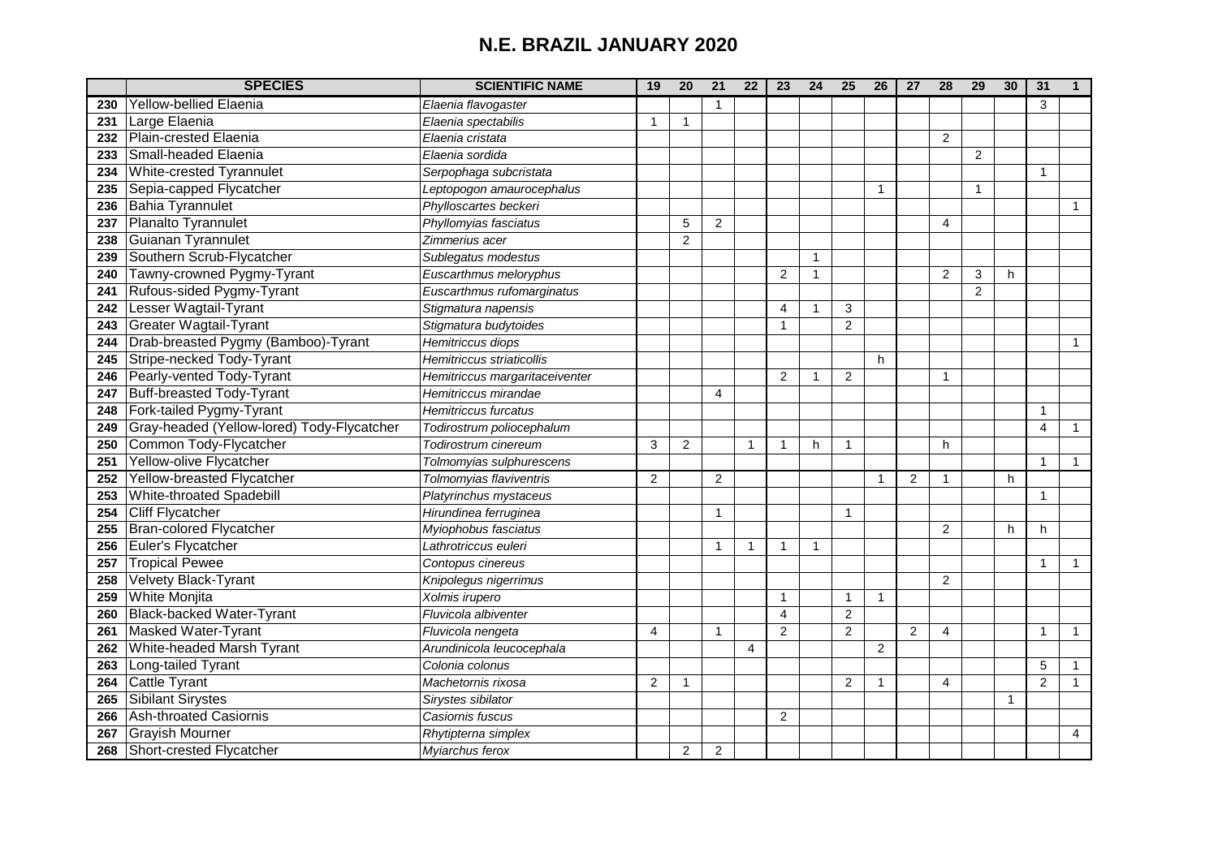|     | <b>SPECIES</b>                             | <b>SCIENTIFIC NAME</b>         | 19             | 20             | 21             | 22           | 23                      | 24                   | 25             | 26             | 27             | 28             | 29           | 30           | 31           | 1            |
|-----|--------------------------------------------|--------------------------------|----------------|----------------|----------------|--------------|-------------------------|----------------------|----------------|----------------|----------------|----------------|--------------|--------------|--------------|--------------|
| 230 | <b>Yellow-bellied Elaenia</b>              | Elaenia flavogaster            |                |                | $\mathbf{1}$   |              |                         |                      |                |                |                |                |              |              | 3            |              |
| 231 | Large Elaenia                              | Elaenia spectabilis            | $\mathbf{1}$   | $\overline{1}$ |                |              |                         |                      |                |                |                |                |              |              |              |              |
| 232 | Plain-crested Elaenia                      | Elaenia cristata               |                |                |                |              |                         |                      |                |                |                | $\overline{2}$ |              |              |              |              |
| 233 | Small-headed Elaenia                       | Elaenia sordida                |                |                |                |              |                         |                      |                |                |                |                | 2            |              |              |              |
| 234 | <b>White-crested Tyrannulet</b>            | Serpophaga subcristata         |                |                |                |              |                         |                      |                |                |                |                |              |              | $\mathbf 1$  |              |
| 235 | Sepia-capped Flycatcher                    | Leptopogon amaurocephalus      |                |                |                |              |                         |                      |                | $\mathbf{1}$   |                |                | $\mathbf{1}$ |              |              |              |
| 236 | <b>Bahia Tyrannulet</b>                    | Phylloscartes beckeri          |                |                |                |              |                         |                      |                |                |                |                |              |              |              | -1           |
| 237 | Planalto Tyrannulet                        | Phyllomyias fasciatus          |                | 5              | $\overline{2}$ |              |                         |                      |                |                |                | 4              |              |              |              |              |
| 238 | Guianan Tyrannulet                         | Zimmerius acer                 |                | 2              |                |              |                         |                      |                |                |                |                |              |              |              |              |
| 239 | Southern Scrub-Flycatcher                  | Sublegatus modestus            |                |                |                |              |                         | $\mathbf{1}$         |                |                |                |                |              |              |              |              |
| 240 | Tawny-crowned Pygmy-Tyrant                 | Euscarthmus meloryphus         |                |                |                |              | 2                       | $\mathbf{1}$         |                |                |                | $\overline{2}$ | 3            | h            |              |              |
| 241 | Rufous-sided Pygmy-Tyrant                  | Euscarthmus rufomarginatus     |                |                |                |              |                         |                      |                |                |                |                | 2            |              |              |              |
| 242 | Lesser Wagtail-Tyrant                      | Stigmatura napensis            |                |                |                |              | $\overline{\mathbf{4}}$ | 1                    | 3              |                |                |                |              |              |              |              |
| 243 | <b>Greater Wagtail-Tyrant</b>              | Stigmatura budytoides          |                |                |                |              | $\overline{1}$          |                      | $\overline{2}$ |                |                |                |              |              |              |              |
| 244 | Drab-breasted Pygmy (Bamboo)-Tyrant        | Hemitriccus diops              |                |                |                |              |                         |                      |                |                |                |                |              |              |              | $\mathbf 1$  |
| 245 | Stripe-necked Tody-Tyrant                  | Hemitriccus striaticollis      |                |                |                |              |                         |                      |                | h              |                |                |              |              |              |              |
| 246 | Pearly-vented Tody-Tyrant                  | Hemitriccus margaritaceiventer |                |                |                |              | 2                       | $\blacktriangleleft$ | $\overline{c}$ |                |                | 1              |              |              |              |              |
| 247 | <b>Buff-breasted Tody-Tyrant</b>           | Hemitriccus mirandae           |                |                | $\overline{4}$ |              |                         |                      |                |                |                |                |              |              |              |              |
| 248 | Fork-tailed Pygmy-Tyrant                   | <b>Hemitriccus furcatus</b>    |                |                |                |              |                         |                      |                |                |                |                |              |              | $\mathbf{1}$ |              |
| 249 | Gray-headed (Yellow-lored) Tody-Flycatcher | Todirostrum poliocephalum      |                |                |                |              |                         |                      |                |                |                |                |              |              | 4            | 1            |
| 250 | Common Tody-Flycatcher                     | Todirostrum cinereum           | 3              | $\overline{2}$ |                | $\mathbf{1}$ | $\mathbf 1$             | h                    | $\mathbf{1}$   |                |                | h              |              |              |              |              |
| 251 | Yellow-olive Flycatcher                    | Tolmomyias sulphurescens       |                |                |                |              |                         |                      |                |                |                |                |              |              | $\mathbf{1}$ | $\mathbf{1}$ |
| 252 | Yellow-breasted Flycatcher                 | Tolmomyias flaviventris        | $\overline{2}$ |                | $\overline{2}$ |              |                         |                      |                | $\mathbf{1}$   | $\overline{2}$ | 1              |              | h            |              |              |
| 253 | <b>White-throated Spadebill</b>            | Platyrinchus mystaceus         |                |                |                |              |                         |                      |                |                |                |                |              |              | $\mathbf{1}$ |              |
| 254 | <b>Cliff Flycatcher</b>                    | Hirundinea ferruginea          |                |                | $\mathbf 1$    |              |                         |                      | $\mathbf{1}$   |                |                |                |              |              |              |              |
| 255 | <b>Bran-colored Flycatcher</b>             | Myiophobus fasciatus           |                |                |                |              |                         |                      |                |                |                | $\overline{2}$ |              | h            | h            |              |
| 256 | Euler's Flycatcher                         | Lathrotriccus euleri           |                |                | $\mathbf{1}$   | $\mathbf{1}$ | $\mathbf 1$             | $\mathbf{1}$         |                |                |                |                |              |              |              |              |
| 257 | <b>Tropical Pewee</b>                      | Contopus cinereus              |                |                |                |              |                         |                      |                |                |                |                |              |              | $\mathbf{1}$ | $\mathbf{1}$ |
| 258 | <b>Velvety Black-Tyrant</b>                | Knipolegus nigerrimus          |                |                |                |              |                         |                      |                |                |                | $\overline{2}$ |              |              |              |              |
| 259 | <b>White Monjita</b>                       | Xolmis irupero                 |                |                |                |              | $\overline{1}$          |                      | $\mathbf{1}$   | $\mathbf 1$    |                |                |              |              |              |              |
| 260 | <b>Black-backed Water-Tyrant</b>           | Fluvicola albiventer           |                |                |                |              | $\overline{4}$          |                      | $\overline{2}$ |                |                |                |              |              |              |              |
| 261 | <b>Masked Water-Tyrant</b>                 | Fluvicola nengeta              | 4              |                | $\mathbf{1}$   |              | $\overline{2}$          |                      | $\overline{2}$ |                | 2              | $\overline{4}$ |              |              | $\mathbf{1}$ | $\mathbf{1}$ |
| 262 | White-headed Marsh Tyrant                  | Arundinicola leucocephala      |                |                |                | 4            |                         |                      |                | $\overline{2}$ |                |                |              |              |              |              |
| 263 | Long-tailed Tyrant                         | Colonia colonus                |                |                |                |              |                         |                      |                |                |                |                |              |              | 5            | -1           |
| 264 | <b>Cattle Tyrant</b>                       | Machetornis rixosa             | $\overline{2}$ | $\overline{1}$ |                |              |                         |                      | $\overline{2}$ | $\mathbf{1}$   |                | 4              |              |              | 2            | $\mathbf 1$  |
| 265 | <b>Sibilant Sirystes</b>                   | Sirystes sibilator             |                |                |                |              |                         |                      |                |                |                |                |              | $\mathbf{1}$ |              |              |
| 266 | <b>Ash-throated Casiornis</b>              | Casiornis fuscus               |                |                |                |              | 2                       |                      |                |                |                |                |              |              |              |              |
| 267 | <b>Grayish Mourner</b>                     | Rhytipterna simplex            |                |                |                |              |                         |                      |                |                |                |                |              |              |              | 4            |
| 268 | Short-crested Flycatcher                   | Myiarchus ferox                |                | $\overline{2}$ | 2              |              |                         |                      |                |                |                |                |              |              |              |              |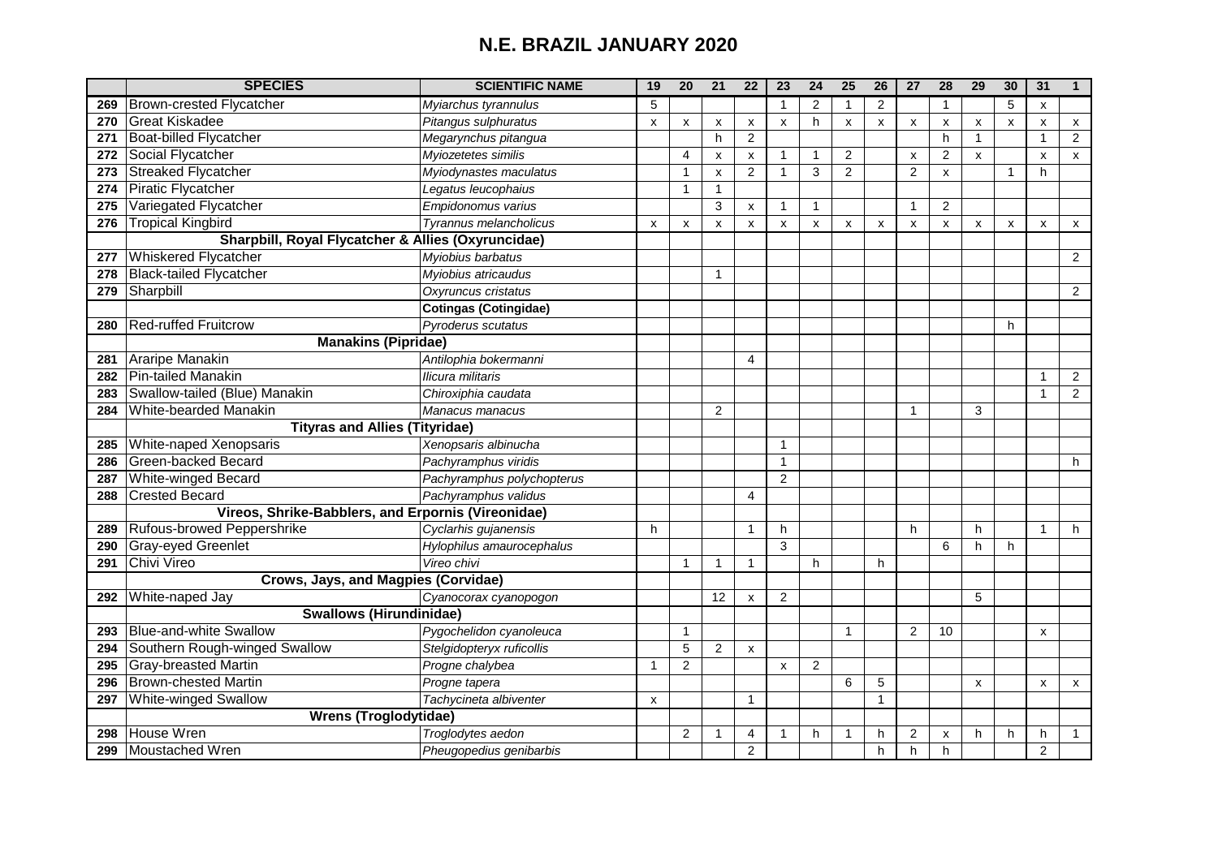|     | <b>SPECIES</b>                                     | <b>SCIENTIFIC NAME</b>       | 19 | $\overline{20}$           | 21                 | 22                        | 23                        | 24             | $\overline{25}$           | $\overline{26}$           | 27                 | $\overline{28}$ | $\overline{29}$    | 30             | 31             | $\mathbf{1}$       |
|-----|----------------------------------------------------|------------------------------|----|---------------------------|--------------------|---------------------------|---------------------------|----------------|---------------------------|---------------------------|--------------------|-----------------|--------------------|----------------|----------------|--------------------|
| 269 | <b>Brown-crested Flycatcher</b>                    | Myiarchus tyrannulus         | 5  |                           |                    |                           | -1                        | 2              | $\mathbf{1}$              | $\overline{2}$            |                    | 1               |                    | 5              | X              |                    |
| 270 | <b>Great Kiskadee</b>                              | Pitangus sulphuratus         | X  | $\pmb{\times}$            | $\pmb{\mathsf{x}}$ | $\pmb{\mathsf{x}}$        | $\boldsymbol{\mathsf{x}}$ | h              | $\boldsymbol{\mathsf{x}}$ | $\boldsymbol{\mathsf{X}}$ | $\pmb{\mathsf{x}}$ | X               | $\pmb{\mathsf{x}}$ | $\pmb{\times}$ | $\mathsf{x}$   | $\pmb{\chi}$       |
| 271 | <b>Boat-billed Flycatcher</b>                      | Megarynchus pitangua         |    |                           | h                  | $\overline{2}$            |                           |                |                           |                           |                    | h               | $\mathbf{1}$       |                | $\mathbf{1}$   | $\overline{c}$     |
| 272 | Social Flycatcher                                  | Myiozetetes similis          |    | 4                         | $\pmb{\mathsf{x}}$ | X                         | $\overline{1}$            | $\mathbf{1}$   | $\overline{2}$            |                           | X                  | $\overline{2}$  | $\mathsf{x}$       |                | x              | $\pmb{\mathsf{X}}$ |
| 273 | <b>Streaked Flycatcher</b>                         | Myiodynastes maculatus       |    | $\mathbf{1}$              | $\mathsf{x}$       | $\overline{2}$            | $\overline{1}$            | 3              | $\overline{2}$            |                           | 2                  | X               |                    | $\mathbf{1}$   | h              |                    |
| 274 | <b>Piratic Flycatcher</b>                          | Legatus leucophaius          |    | $\mathbf{1}$              | 1                  |                           |                           |                |                           |                           |                    |                 |                    |                |                |                    |
| 275 | Variegated Flycatcher                              | Empidonomus varius           |    |                           | 3                  | $\mathsf{x}$              | 1                         | $\mathbf{1}$   |                           |                           | $\mathbf{1}$       | $\overline{2}$  |                    |                |                |                    |
| 276 | <b>Tropical Kingbird</b>                           | Tyrannus melancholicus       | X  | $\boldsymbol{\mathsf{x}}$ | $\mathsf{x}$       | $\boldsymbol{\mathsf{x}}$ | $\boldsymbol{\mathsf{x}}$ | X              | X                         | $\pmb{\chi}$              | X                  | x               | $\pmb{\chi}$       | X              | X              | X                  |
|     | Sharpbill, Royal Flycatcher & Allies (Oxyruncidae) |                              |    |                           |                    |                           |                           |                |                           |                           |                    |                 |                    |                |                |                    |
| 277 | Whiskered Flycatcher                               | Myiobius barbatus            |    |                           |                    |                           |                           |                |                           |                           |                    |                 |                    |                |                | 2                  |
| 278 | <b>Black-tailed Flycatcher</b>                     | Myiobius atricaudus          |    |                           | $\mathbf{1}$       |                           |                           |                |                           |                           |                    |                 |                    |                |                |                    |
| 279 | Sharpbill                                          | Oxyruncus cristatus          |    |                           |                    |                           |                           |                |                           |                           |                    |                 |                    |                |                | 2                  |
|     |                                                    | <b>Cotingas (Cotingidae)</b> |    |                           |                    |                           |                           |                |                           |                           |                    |                 |                    |                |                |                    |
| 280 | <b>Red-ruffed Fruitcrow</b>                        | Pyroderus scutatus           |    |                           |                    |                           |                           |                |                           |                           |                    |                 |                    | h              |                |                    |
|     | <b>Manakins (Pipridae)</b>                         |                              |    |                           |                    |                           |                           |                |                           |                           |                    |                 |                    |                |                |                    |
| 281 | <b>Araripe Manakin</b>                             | Antilophia bokermanni        |    |                           |                    | 4                         |                           |                |                           |                           |                    |                 |                    |                |                |                    |
| 282 | <b>Pin-tailed Manakin</b>                          | Ilicura militaris            |    |                           |                    |                           |                           |                |                           |                           |                    |                 |                    |                | $\mathbf{1}$   | $\sqrt{2}$         |
| 283 | Swallow-tailed (Blue) Manakin                      | Chiroxiphia caudata          |    |                           |                    |                           |                           |                |                           |                           |                    |                 |                    |                | $\mathbf{1}$   | $\overline{2}$     |
| 284 | White-bearded Manakin                              | Manacus manacus              |    |                           | $\overline{2}$     |                           |                           |                |                           |                           | $\mathbf{1}$       |                 | 3                  |                |                |                    |
|     | <b>Tityras and Allies (Tityridae)</b>              |                              |    |                           |                    |                           |                           |                |                           |                           |                    |                 |                    |                |                |                    |
| 285 | White-naped Xenopsaris                             | Xenopsaris albinucha         |    |                           |                    |                           | $\overline{1}$            |                |                           |                           |                    |                 |                    |                |                |                    |
| 286 | Green-backed Becard                                | Pachyramphus viridis         |    |                           |                    |                           | $\overline{1}$            |                |                           |                           |                    |                 |                    |                |                | h                  |
| 287 | White-winged Becard                                | Pachyramphus polychopterus   |    |                           |                    |                           | $\overline{2}$            |                |                           |                           |                    |                 |                    |                |                |                    |
| 288 | <b>Crested Becard</b>                              | Pachyramphus validus         |    |                           |                    | 4                         |                           |                |                           |                           |                    |                 |                    |                |                |                    |
|     | Vireos, Shrike-Babblers, and Erpornis (Vireonidae) |                              |    |                           |                    |                           |                           |                |                           |                           |                    |                 |                    |                |                |                    |
| 289 | <b>Rufous-browed Peppershrike</b>                  | Cyclarhis gujanensis         | h  |                           |                    | $\overline{1}$            | h                         |                |                           |                           | h                  |                 | h                  |                | $\mathbf{1}$   | h                  |
| 290 | <b>Gray-eyed Greenlet</b>                          | Hylophilus amaurocephalus    |    |                           |                    |                           | 3                         |                |                           |                           |                    | 6               | h                  | h              |                |                    |
| 291 | Chivi Vireo                                        | Vireo chivi                  |    | $\mathbf{1}$              | 1                  | $\mathbf{1}$              |                           | h              |                           | h                         |                    |                 |                    |                |                |                    |
|     | Crows, Jays, and Magpies (Corvidae)                |                              |    |                           |                    |                           |                           |                |                           |                           |                    |                 |                    |                |                |                    |
| 292 | White-naped Jay                                    | Cyanocorax cyanopogon        |    |                           | 12                 | $\boldsymbol{\mathsf{x}}$ | $\overline{2}$            |                |                           |                           |                    |                 | 5                  |                |                |                    |
|     | <b>Swallows (Hirundinidae)</b>                     |                              |    |                           |                    |                           |                           |                |                           |                           |                    |                 |                    |                |                |                    |
| 293 | <b>Blue-and-white Swallow</b>                      | Pygochelidon cyanoleuca      |    | $\mathbf{1}$              |                    |                           |                           |                | $\mathbf{1}$              |                           | 2                  | 10              |                    |                | X              |                    |
| 294 | Southern Rough-winged Swallow                      | Stelgidopteryx ruficollis    |    | 5                         | 2                  | $\mathsf{x}$              |                           |                |                           |                           |                    |                 |                    |                |                |                    |
| 295 | <b>Gray-breasted Martin</b>                        | Progne chalybea              | 1  | $\overline{2}$            |                    |                           | X                         | $\overline{2}$ |                           |                           |                    |                 |                    |                |                |                    |
| 296 | <b>Brown-chested Martin</b>                        | Progne tapera                |    |                           |                    |                           |                           |                | 6                         | $\mathbf 5$               |                    |                 | X                  |                | x              | X                  |
| 297 | <b>White-winged Swallow</b>                        | Tachycineta albiventer       | X  |                           |                    | $\mathbf{1}$              |                           |                |                           | $\overline{1}$            |                    |                 |                    |                |                |                    |
|     | <b>Wrens (Troglodytidae)</b>                       |                              |    |                           |                    |                           |                           |                |                           |                           |                    |                 |                    |                |                |                    |
| 298 | House Wren                                         | Troglodytes aedon            |    | $\overline{2}$            | 1                  | $\overline{4}$            | 1                         | h              | 1                         | h                         | $\overline{2}$     | X               | h                  | h              | h.             | -1                 |
| 299 | Moustached Wren                                    | Pheugopedius genibarbis      |    |                           |                    | $\overline{2}$            |                           |                |                           | h                         | h                  | h               |                    |                | $\overline{2}$ |                    |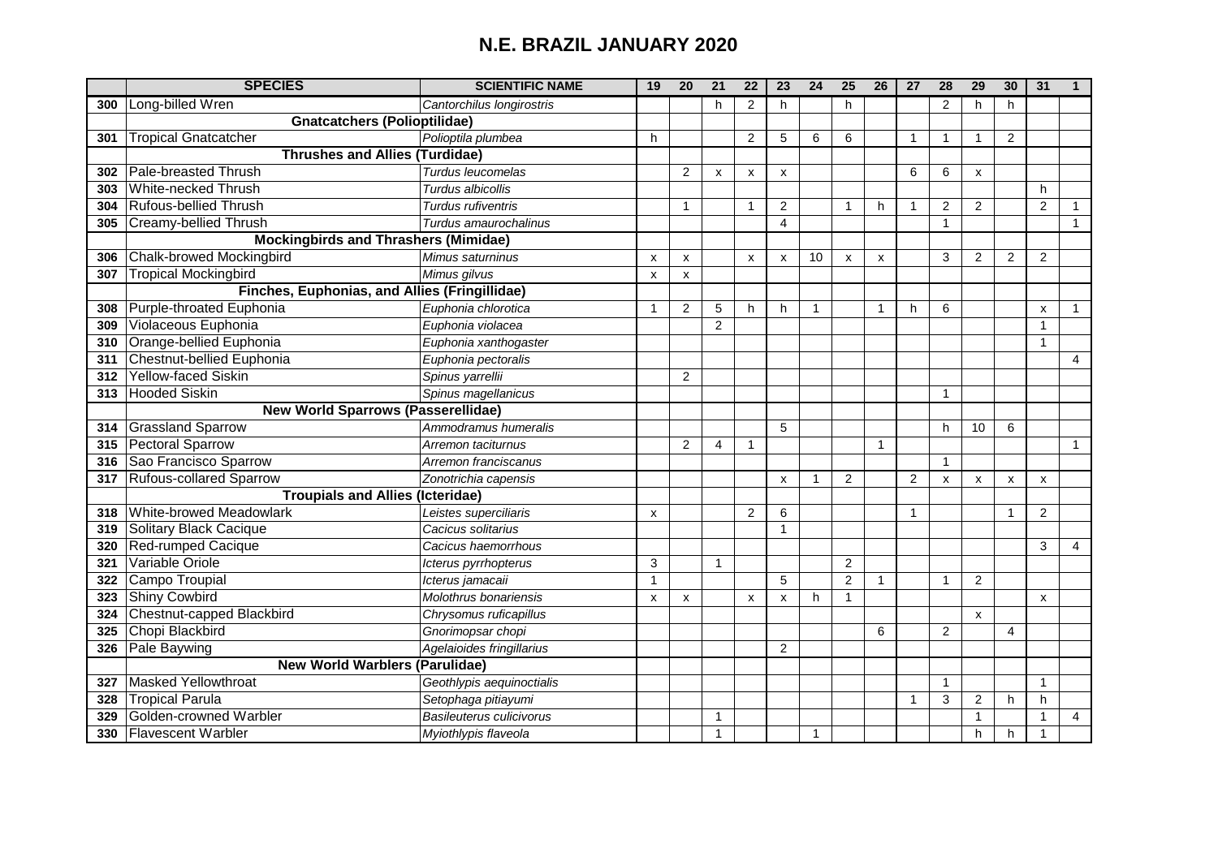|     | <b>SPECIES</b>                                | <b>SCIENTIFIC NAME</b>    | 19           | 20             | 21             | 22             | 23                        | 24           | 25             | 26             | 27           | 28             | 29                 | 30             | 31             | 1              |
|-----|-----------------------------------------------|---------------------------|--------------|----------------|----------------|----------------|---------------------------|--------------|----------------|----------------|--------------|----------------|--------------------|----------------|----------------|----------------|
| 300 | Long-billed Wren                              | Cantorchilus longirostris |              |                | h              | 2              | h                         |              | h              |                |              | 2              | h                  | h              |                |                |
|     | <b>Gnatcatchers (Polioptilidae)</b>           |                           |              |                |                |                |                           |              |                |                |              |                |                    |                |                |                |
| 301 | <b>Tropical Gnatcatcher</b>                   | Polioptila plumbea        | h            |                |                | $\overline{c}$ | 5                         | 6            | 6              |                | $\mathbf{1}$ | $\mathbf{1}$   | $\mathbf{1}$       | $\overline{2}$ |                |                |
|     | <b>Thrushes and Allies (Turdidae)</b>         |                           |              |                |                |                |                           |              |                |                |              |                |                    |                |                |                |
| 302 | Pale-breasted Thrush                          | Turdus leucomelas         |              | 2              | X              | X              | $\boldsymbol{\mathsf{x}}$ |              |                |                | 6            | 6              | $\mathsf{x}$       |                |                |                |
| 303 | <b>White-necked Thrush</b>                    | Turdus albicollis         |              |                |                |                |                           |              |                |                |              |                |                    |                | h.             |                |
| 304 | <b>Rufous-bellied Thrush</b>                  | Turdus rufiventris        |              | $\overline{1}$ |                | $\mathbf{1}$   | 2                         |              | $\mathbf{1}$   | h              | $\mathbf{1}$ | $\overline{2}$ | 2                  |                | $\overline{2}$ | $\mathbf{1}$   |
| 305 | <b>Creamy-bellied Thrush</b>                  | Turdus amaurochalinus     |              |                |                |                | $\overline{4}$            |              |                |                |              | 1              |                    |                |                | $\mathbf 1$    |
|     | <b>Mockingbirds and Thrashers (Mimidae)</b>   |                           |              |                |                |                |                           |              |                |                |              |                |                    |                |                |                |
| 306 | <b>Chalk-browed Mockingbird</b>               | Mimus saturninus          | x            | X              |                | X              | $\boldsymbol{\mathsf{x}}$ | 10           | X              | X              |              | 3              | $\overline{2}$     | $\overline{2}$ | $\overline{c}$ |                |
| 307 | <b>Tropical Mockingbird</b>                   | Mimus gilvus              | X            | X              |                |                |                           |              |                |                |              |                |                    |                |                |                |
|     | Finches, Euphonias, and Allies (Fringillidae) |                           |              |                |                |                |                           |              |                |                |              |                |                    |                |                |                |
| 308 | Purple-throated Euphonia                      | Euphonia chlorotica       | $\mathbf{1}$ | $\overline{2}$ | 5              | h              | h                         | $\mathbf{1}$ |                | $\overline{1}$ | h            | 6              |                    |                | X              | $\mathbf 1$    |
| 309 | Violaceous Euphonia                           | Euphonia violacea         |              |                | $\overline{2}$ |                |                           |              |                |                |              |                |                    |                | $\mathbf{1}$   |                |
| 310 | Orange-bellied Euphonia                       | Euphonia xanthogaster     |              |                |                |                |                           |              |                |                |              |                |                    |                | $\mathbf{1}$   |                |
| 311 | Chestnut-bellied Euphonia                     | Euphonia pectoralis       |              |                |                |                |                           |              |                |                |              |                |                    |                |                | $\overline{4}$ |
| 312 | <b>Yellow-faced Siskin</b>                    | Spinus yarrellii          |              | $\overline{2}$ |                |                |                           |              |                |                |              |                |                    |                |                |                |
| 313 | <b>Hooded Siskin</b>                          | Spinus magellanicus       |              |                |                |                |                           |              |                |                |              | $\overline{1}$ |                    |                |                |                |
|     | <b>New World Sparrows (Passerellidae)</b>     |                           |              |                |                |                |                           |              |                |                |              |                |                    |                |                |                |
| 314 | <b>Grassland Sparrow</b>                      | Ammodramus humeralis      |              |                |                |                | 5                         |              |                |                |              | h              | 10                 | 6              |                |                |
| 315 | <b>Pectoral Sparrow</b>                       | Arremon taciturnus        |              | 2              | 4              | $\mathbf{1}$   |                           |              |                | $\mathbf 1$    |              |                |                    |                |                | $\mathbf{1}$   |
| 316 | Sao Francisco Sparrow                         | Arremon franciscanus      |              |                |                |                |                           |              |                |                |              | $\mathbf{1}$   |                    |                |                |                |
| 317 | <b>Rufous-collared Sparrow</b>                | Zonotrichia capensis      |              |                |                |                | $\boldsymbol{\mathsf{x}}$ | $\mathbf{1}$ | 2              |                | 2            | $\mathsf{x}$   | $\pmb{\mathsf{X}}$ | X              | X              |                |
|     | <b>Troupials and Allies (Icteridae)</b>       |                           |              |                |                |                |                           |              |                |                |              |                |                    |                |                |                |
| 318 | White-browed Meadowlark                       | Leistes superciliaris     | x            |                |                | 2              | 6                         |              |                |                | $\mathbf{1}$ |                |                    | $\mathbf{1}$   | $\overline{2}$ |                |
| 319 | Solitary Black Cacique                        | Cacicus solitarius        |              |                |                |                | $\overline{1}$            |              |                |                |              |                |                    |                |                |                |
| 320 | <b>Red-rumped Cacique</b>                     | Cacicus haemorrhous       |              |                |                |                |                           |              |                |                |              |                |                    |                | 3              | 4              |
| 321 | Variable Oriole                               | Icterus pyrrhopterus      | 3            |                | $\mathbf{1}$   |                |                           |              | $\overline{2}$ |                |              |                |                    |                |                |                |
| 322 | Campo Troupial                                | Icterus jamacaii          | $\mathbf{1}$ |                |                |                | 5                         |              | $\overline{2}$ | $\mathbf 1$    |              | 1              | 2                  |                |                |                |
| 323 | <b>Shiny Cowbird</b>                          | Molothrus bonariensis     | x            | X              |                | X              | $\boldsymbol{\mathsf{x}}$ | h.           | $\mathbf{1}$   |                |              |                |                    |                | X              |                |
| 324 | Chestnut-capped Blackbird                     | Chrysomus ruficapillus    |              |                |                |                |                           |              |                |                |              |                | $\pmb{\mathsf{X}}$ |                |                |                |
| 325 | Chopi Blackbird                               | Gnorimopsar chopi         |              |                |                |                |                           |              |                | 6              |              | $\overline{2}$ |                    | $\overline{4}$ |                |                |
| 326 | Pale Baywing                                  | Agelaioides fringillarius |              |                |                |                | 2                         |              |                |                |              |                |                    |                |                |                |
|     | <b>New World Warblers (Parulidae)</b>         |                           |              |                |                |                |                           |              |                |                |              |                |                    |                |                |                |
| 327 | <b>Masked Yellowthroat</b>                    | Geothlypis aequinoctialis |              |                |                |                |                           |              |                |                |              | $\mathbf{1}$   |                    |                | $\mathbf{1}$   |                |
| 328 | <b>Tropical Parula</b>                        | Setophaga pitiayumi       |              |                |                |                |                           |              |                |                | 1            | 3              | $\overline{2}$     | h              | h              |                |
| 329 | Golden-crowned Warbler                        | Basileuterus culicivorus  |              |                | $\mathbf{1}$   |                |                           |              |                |                |              |                | $\mathbf{1}$       |                | $\mathbf 1$    | $\overline{4}$ |
| 330 | <b>Flavescent Warbler</b>                     | Myiothlypis flaveola      |              |                | $\overline{1}$ |                |                           | $\mathbf{1}$ |                |                |              |                | h                  | $\mathsf{h}$   | 1              |                |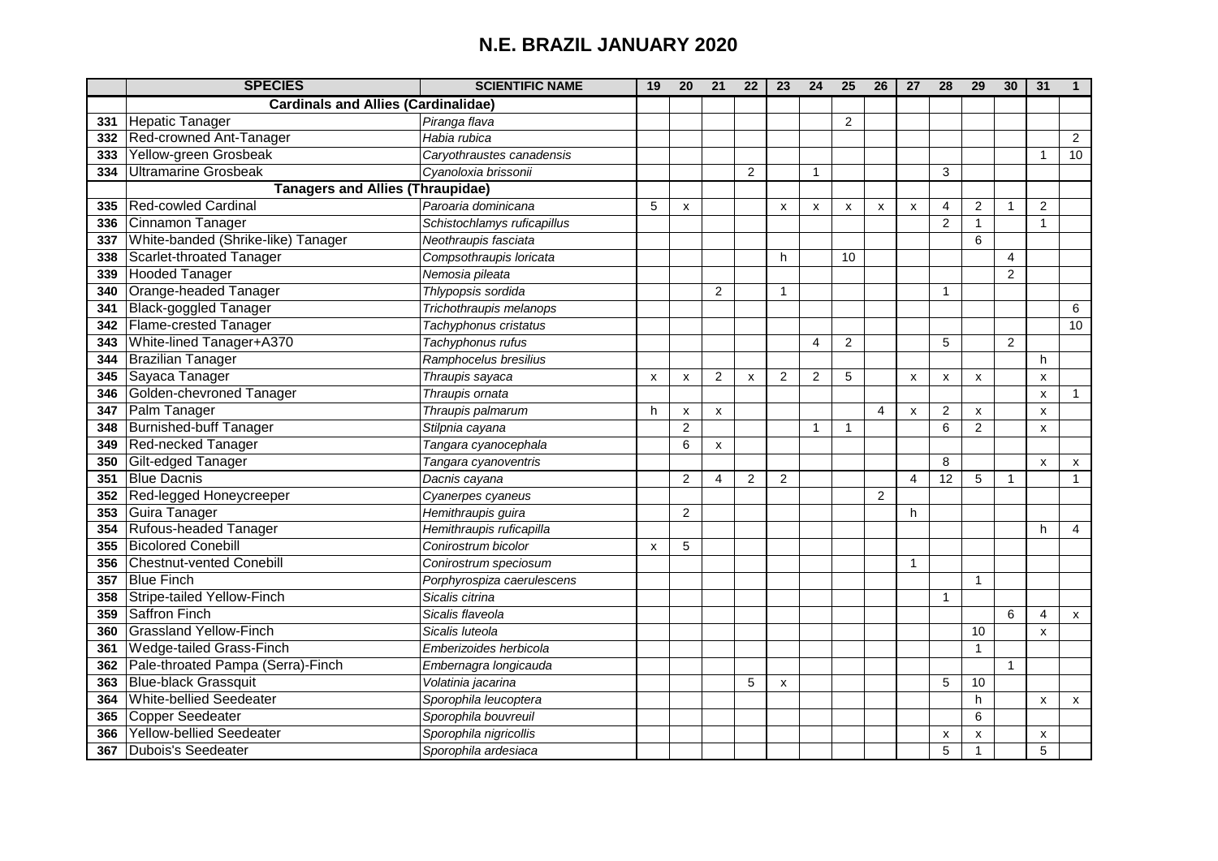|     | <b>SPECIES</b>                             | <b>SCIENTIFIC NAME</b>      | 19 | 20             | 21             | 22             | 23             | 24             | 25             | 26             | 27 | 28             | 29             | 30             | 31             | $\mathbf{1}$   |
|-----|--------------------------------------------|-----------------------------|----|----------------|----------------|----------------|----------------|----------------|----------------|----------------|----|----------------|----------------|----------------|----------------|----------------|
|     | <b>Cardinals and Allies (Cardinalidae)</b> |                             |    |                |                |                |                |                |                |                |    |                |                |                |                |                |
| 331 | <b>Hepatic Tanager</b>                     | Piranga flava               |    |                |                |                |                |                | $\overline{2}$ |                |    |                |                |                |                |                |
| 332 | Red-crowned Ant-Tanager                    | Habia rubica                |    |                |                |                |                |                |                |                |    |                |                |                |                | $\overline{2}$ |
| 333 | Yellow-green Grosbeak                      | Caryothraustes canadensis   |    |                |                |                |                |                |                |                |    |                |                |                | $\mathbf{1}$   | 10             |
| 334 | <b>Ultramarine Grosbeak</b>                | Cyanoloxia brissonii        |    |                |                | $\overline{2}$ |                | $\mathbf{1}$   |                |                |    | 3              |                |                |                |                |
|     | <b>Tanagers and Allies (Thraupidae)</b>    |                             |    |                |                |                |                |                |                |                |    |                |                |                |                |                |
| 335 | <b>Red-cowled Cardinal</b>                 | Paroaria dominicana         | 5  | $\pmb{\times}$ |                |                | X              | X              | X              | X              | x  | 4              | $\overline{2}$ | $\mathbf{1}$   | $\overline{c}$ |                |
| 336 | Cinnamon Tanager                           | Schistochlamys ruficapillus |    |                |                |                |                |                |                |                |    | $\overline{2}$ | $\mathbf{1}$   |                | $\mathbf{1}$   |                |
| 337 | White-banded (Shrike-like) Tanager         | Neothraupis fasciata        |    |                |                |                |                |                |                |                |    |                | 6              |                |                |                |
| 338 | Scarlet-throated Tanager                   | Compsothraupis loricata     |    |                |                |                | h              |                | 10             |                |    |                |                | 4              |                |                |
| 339 | <b>Hooded Tanager</b>                      | Nemosia pileata             |    |                |                |                |                |                |                |                |    |                |                | $\overline{2}$ |                |                |
| 340 | Orange-headed Tanager                      | Thlypopsis sordida          |    |                | 2              |                | $\mathbf 1$    |                |                |                |    | 1              |                |                |                |                |
| 341 | <b>Black-goggled Tanager</b>               | Trichothraupis melanops     |    |                |                |                |                |                |                |                |    |                |                |                |                | 6              |
| 342 | Flame-crested Tanager                      | Tachyphonus cristatus       |    |                |                |                |                |                |                |                |    |                |                |                |                | 10             |
| 343 | White-lined Tanager+A370                   | Tachyphonus rufus           |    |                |                |                |                | $\overline{4}$ | $\overline{2}$ |                |    | 5              |                | $\overline{2}$ |                |                |
| 344 | <b>Brazilian Tanager</b>                   | Ramphocelus bresilius       |    |                |                |                |                |                |                |                |    |                |                |                | h.             |                |
| 345 | Sayaca Tanager                             | Thraupis sayaca             | x  | X              | 2              | $\mathsf{x}$   | 2              | $\overline{2}$ | 5              |                | X  | X              | X              |                | X              |                |
| 346 | Golden-chevroned Tanager                   | Thraupis ornata             |    |                |                |                |                |                |                |                |    |                |                |                | X              | $\mathbf{1}$   |
| 347 | Palm Tanager                               | Thraupis palmarum           | h  | X              | X              |                |                |                |                | 4              | x  | $\overline{2}$ | X              |                | x              |                |
| 348 | <b>Burnished-buff Tanager</b>              | Stilpnia cayana             |    | $\overline{2}$ |                |                |                | $\mathbf 1$    | 1              |                |    | 6              | 2              |                | x              |                |
| 349 | <b>Red-necked Tanager</b>                  | Tangara cyanocephala        |    | 6              | X              |                |                |                |                |                |    |                |                |                |                |                |
| 350 | Gilt-edged Tanager                         | Tangara cyanoventris        |    |                |                |                |                |                |                |                |    | 8              |                |                | X              | X              |
| 351 | <b>Blue Dacnis</b>                         | Dacnis cayana               |    | $\overline{2}$ | $\overline{4}$ | $\overline{2}$ | $\overline{2}$ |                |                |                | 4  | 12             | 5              | $\mathbf{1}$   |                | $\mathbf{1}$   |
| 352 | Red-legged Honeycreeper                    | Cyanerpes cyaneus           |    |                |                |                |                |                |                | $\overline{2}$ |    |                |                |                |                |                |
| 353 | Guira Tanager                              | Hemithraupis guira          |    | 2              |                |                |                |                |                |                | h  |                |                |                |                |                |
| 354 | <b>Rufous-headed Tanager</b>               | Hemithraupis ruficapilla    |    |                |                |                |                |                |                |                |    |                |                |                | h.             | $\overline{4}$ |
| 355 | <b>Bicolored Conebill</b>                  | Conirostrum bicolor         | x  | 5              |                |                |                |                |                |                |    |                |                |                |                |                |
| 356 | <b>Chestnut-vented Conebill</b>            | Conirostrum speciosum       |    |                |                |                |                |                |                |                | 1  |                |                |                |                |                |
| 357 | <b>Blue Finch</b>                          | Porphyrospiza caerulescens  |    |                |                |                |                |                |                |                |    |                | $\mathbf{1}$   |                |                |                |
| 358 | Stripe-tailed Yellow-Finch                 | Sicalis citrina             |    |                |                |                |                |                |                |                |    | $\overline{1}$ |                |                |                |                |
| 359 | <b>Saffron Finch</b>                       | Sicalis flaveola            |    |                |                |                |                |                |                |                |    |                |                | 6              | 4              | X              |
| 360 | <b>Grassland Yellow-Finch</b>              | Sicalis luteola             |    |                |                |                |                |                |                |                |    |                | 10             |                | x              |                |
| 361 | Wedge-tailed Grass-Finch                   | Emberizoides herbicola      |    |                |                |                |                |                |                |                |    |                | $\mathbf{1}$   |                |                |                |
| 362 | Pale-throated Pampa (Serra)-Finch          | Embernagra longicauda       |    |                |                |                |                |                |                |                |    |                |                | $\mathbf{1}$   |                |                |
| 363 | <b>Blue-black Grassquit</b>                | Volatinia jacarina          |    |                |                | 5              | X              |                |                |                |    | 5              | 10             |                |                |                |
| 364 | <b>White-bellied Seedeater</b>             | Sporophila leucoptera       |    |                |                |                |                |                |                |                |    |                | h              |                | x              | X              |
| 365 | <b>Copper Seedeater</b>                    | Sporophila bouvreuil        |    |                |                |                |                |                |                |                |    |                | 6              |                |                |                |
| 366 | <b>Yellow-bellied Seedeater</b>            | Sporophila nigricollis      |    |                |                |                |                |                |                |                |    | X              | X              |                | x              |                |
| 367 | Dubois's Seedeater                         | Sporophila ardesiaca        |    |                |                |                |                |                |                |                |    | 5              | $\overline{1}$ |                | 5              |                |